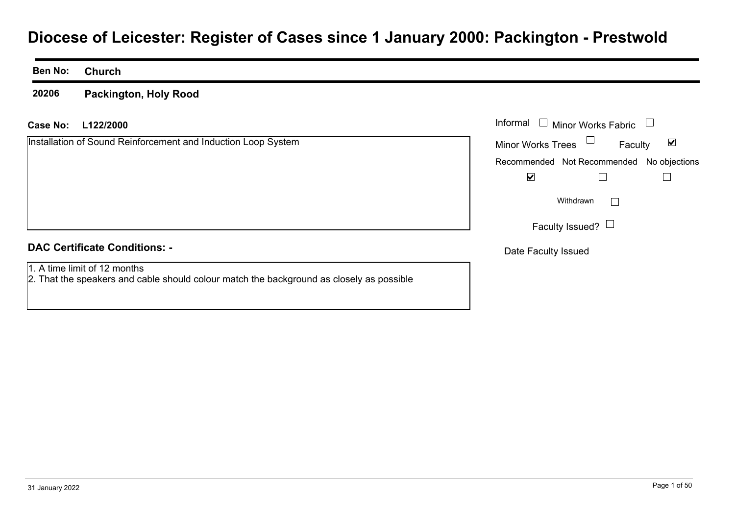# **Diocese of Leicester: Register of Cases since 1 January 2000: Packington - Prestwold**

#### **Ben No:Church**

**20206Packington, Holy Rood**

#### **L122/2000Case No:** Informal

Installation of Sound Reinforcement and Induction Loop System

| Informal<br><b>Minor Works Fabric</b> |                                           |  |  |
|---------------------------------------|-------------------------------------------|--|--|
| <b>Minor Works Trees</b>              | Faculty                                   |  |  |
|                                       | Recommended Not Recommended No objections |  |  |
|                                       |                                           |  |  |
|                                       | Withdrawn                                 |  |  |
| Faculty Issued? $\Box$                |                                           |  |  |
| Date Faculty Issued                   |                                           |  |  |

#### **DAC Certificate Conditions: -**

1. A time limit of 12 months

2. That the speakers and cable should colour match the background as closely as possible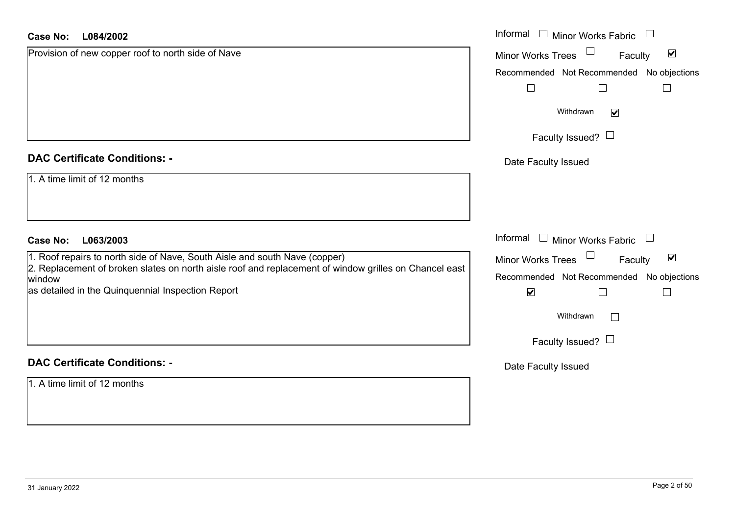| <b>Case No:</b> | L084/2002 |
|-----------------|-----------|
|-----------------|-----------|

| <b>Case No:</b><br>L084/2002                                                                                    | Informal<br>Minor Works Fabric                              |  |  |  |
|-----------------------------------------------------------------------------------------------------------------|-------------------------------------------------------------|--|--|--|
| Provision of new copper roof to north side of Nave                                                              | $\blacktriangledown$<br><b>Minor Works Trees</b><br>Faculty |  |  |  |
|                                                                                                                 | Recommended Not Recommended No objections                   |  |  |  |
|                                                                                                                 | $\Box$                                                      |  |  |  |
|                                                                                                                 | Withdrawn<br>$\blacktriangledown$                           |  |  |  |
|                                                                                                                 | Faculty Issued? $\Box$                                      |  |  |  |
| <b>DAC Certificate Conditions: -</b>                                                                            | Date Faculty Issued                                         |  |  |  |
| 1. A time limit of 12 months                                                                                    |                                                             |  |  |  |
|                                                                                                                 |                                                             |  |  |  |
| <b>Case No:</b><br>L063/2003                                                                                    | Informal<br>Minor Works Fabric<br>$\Box$<br>$\mathcal{L}$   |  |  |  |
| 1. Roof repairs to north side of Nave, South Aisle and south Nave (copper)                                      | $\blacktriangledown$<br>Minor Works Trees<br>Faculty        |  |  |  |
| 2. Replacement of broken slates on north aisle roof and replacement of window grilles on Chancel east<br>window | Recommended Not Recommended<br>No objections                |  |  |  |
| as detailed in the Quinquennial Inspection Report                                                               | $\blacktriangledown$<br>∟                                   |  |  |  |
|                                                                                                                 | Withdrawn                                                   |  |  |  |
|                                                                                                                 | Faculty Issued? $\Box$                                      |  |  |  |
| <b>DAC Certificate Conditions: -</b>                                                                            | Date Faculty Issued                                         |  |  |  |
| 1. A time limit of 12 months                                                                                    |                                                             |  |  |  |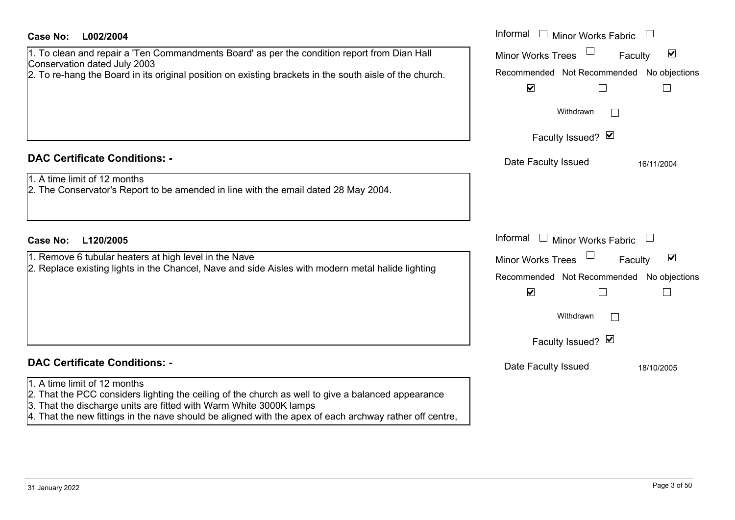| <b>Case No:</b><br>L002/2004                                                                                                                                                                                                                                                                                         | Informal $\Box$ Minor Works Fabric                          |
|----------------------------------------------------------------------------------------------------------------------------------------------------------------------------------------------------------------------------------------------------------------------------------------------------------------------|-------------------------------------------------------------|
| 1. To clean and repair a 'Ten Commandments Board' as per the condition report from Dian Hall                                                                                                                                                                                                                         | $\blacktriangledown$<br><b>Minor Works Trees</b><br>Faculty |
| Conservation dated July 2003<br>2. To re-hang the Board in its original position on existing brackets in the south aisle of the church.                                                                                                                                                                              | Recommended Not Recommended No objections                   |
|                                                                                                                                                                                                                                                                                                                      | $\blacktriangledown$                                        |
|                                                                                                                                                                                                                                                                                                                      | Withdrawn                                                   |
|                                                                                                                                                                                                                                                                                                                      | Faculty Issued? Ø                                           |
| <b>DAC Certificate Conditions: -</b>                                                                                                                                                                                                                                                                                 | Date Faculty Issued<br>16/11/2004                           |
| 1. A time limit of 12 months<br>2. The Conservator's Report to be amended in line with the email dated 28 May 2004.                                                                                                                                                                                                  |                                                             |
|                                                                                                                                                                                                                                                                                                                      |                                                             |
| <b>Case No:</b><br>L120/2005                                                                                                                                                                                                                                                                                         | Informal<br>$\Box$ Minor Works Fabric $\Box$                |
| 1. Remove 6 tubular heaters at high level in the Nave                                                                                                                                                                                                                                                                | $\blacktriangledown$<br>Minor Works Trees<br>Faculty        |
| 2. Replace existing lights in the Chancel, Nave and side Aisles with modern metal halide lighting                                                                                                                                                                                                                    | Recommended Not Recommended No objections                   |
|                                                                                                                                                                                                                                                                                                                      | $\blacktriangledown$                                        |
|                                                                                                                                                                                                                                                                                                                      | Withdrawn                                                   |
|                                                                                                                                                                                                                                                                                                                      | Faculty Issued? Ø                                           |
| <b>DAC Certificate Conditions: -</b>                                                                                                                                                                                                                                                                                 | Date Faculty Issued<br>18/10/2005                           |
| 1. A time limit of 12 months<br>2. That the PCC considers lighting the ceiling of the church as well to give a balanced appearance<br>3. That the discharge units are fitted with Warm White 3000K lamps<br>[4. That the new fittings in the nave should be aligned with the apex of each archway rather off centre, |                                                             |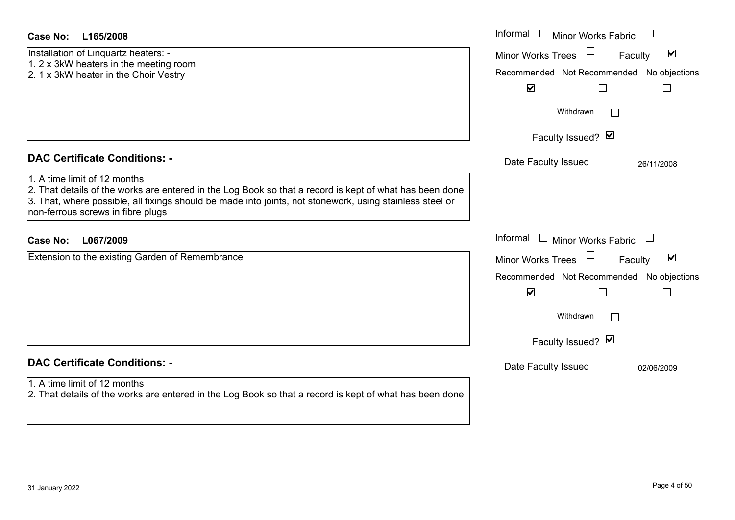Installation of Linquartz heaters: - 1. 2 x 3kW heaters in the meeting room 2. 1 x 3kW heater in the Choir Vestry

#### **DAC Certificate Conditions: -**

1. A time limit of 12 months2. That details of the works are entered in the Log Book so that a record is kept of what has been done 3. That, where possible, all fixings should be made into joints, not stonework, using stainless steel or non-ferrous screws in fibre plugs

### **L067/2009Case No:** Informal

Extension to the existing Garden of Remembrance

## **DAC Certificate Conditions: -**

#### 1. A time limit of 12 months

2. That details of the works are entered in the Log Book so that a record is kept of what has been done

| L165/2008                                                                                                                                                                                                                                           | Informal<br>Minor Works Fabric                                                                                               |
|-----------------------------------------------------------------------------------------------------------------------------------------------------------------------------------------------------------------------------------------------------|------------------------------------------------------------------------------------------------------------------------------|
| on of Linquartz heaters: -<br>W heaters in the meeting room<br>W heater in the Choir Vestry                                                                                                                                                         | $\blacktriangledown$<br>Minor Works Trees<br>Faculty<br>Recommended Not Recommended<br>No objections<br>$\blacktriangledown$ |
|                                                                                                                                                                                                                                                     | Withdrawn                                                                                                                    |
|                                                                                                                                                                                                                                                     | Faculty Issued? Ø                                                                                                            |
| rtificate Conditions: -                                                                                                                                                                                                                             | Date Faculty Issued<br>26/11/2008                                                                                            |
| limit of 12 months<br>etails of the works are entered in the Log Book so that a record is kept of what has been done<br>vhere possible, all fixings should be made into joints, not stonework, using stainless steel or<br>us screws in fibre plugs |                                                                                                                              |
| L067/2009                                                                                                                                                                                                                                           | Informal<br>$\perp$<br><b>Minor Works Fabric</b>                                                                             |
| n to the existing Garden of Remembrance                                                                                                                                                                                                             | $\blacktriangledown$<br><b>Minor Works Trees</b><br>Faculty                                                                  |
|                                                                                                                                                                                                                                                     | Recommended Not Recommended No objections<br>$\blacktriangledown$                                                            |
|                                                                                                                                                                                                                                                     | Withdrawn                                                                                                                    |
|                                                                                                                                                                                                                                                     | Faculty Issued? Ø                                                                                                            |
| rtificate Conditions: -                                                                                                                                                                                                                             | Date Faculty Issued<br>02/06/2009                                                                                            |
| limit of 12 months<br>etails of the works are entered in the Log Book so that a record is kept of what has been done                                                                                                                                |                                                                                                                              |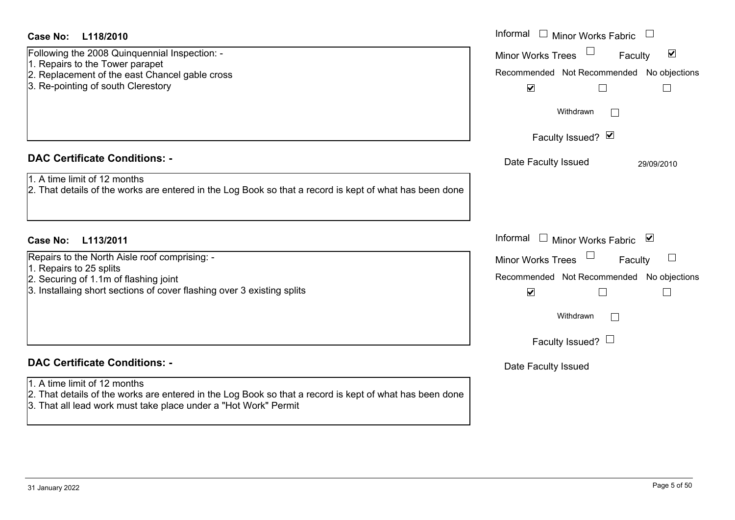| <b>Case No:</b><br>L118/2010                                                                                                                                                                               | Informal □ Minor Works Fabric                                                                            |
|------------------------------------------------------------------------------------------------------------------------------------------------------------------------------------------------------------|----------------------------------------------------------------------------------------------------------|
| Following the 2008 Quinquennial Inspection: -<br>1. Repairs to the Tower parapet<br>2. Replacement of the east Chancel gable cross                                                                         | $\blacktriangledown$<br><b>Minor Works Trees</b><br>Faculty<br>Recommended Not Recommended No objections |
| 3. Re-pointing of south Clerestory                                                                                                                                                                         | $\blacktriangledown$<br>$\Box$<br>Withdrawn                                                              |
|                                                                                                                                                                                                            | Faculty Issued? Ø                                                                                        |
| <b>DAC Certificate Conditions: -</b>                                                                                                                                                                       | Date Faculty Issued<br>29/09/2010                                                                        |
| 1. A time limit of 12 months<br>2. That details of the works are entered in the Log Book so that a record is kept of what has been done                                                                    |                                                                                                          |
| <b>Case No:</b><br>L113/2011                                                                                                                                                                               | Informal $\Box$ Minor Works Fabric $\Box$                                                                |
| Repairs to the North Aisle roof comprising: -<br>1. Repairs to 25 splits                                                                                                                                   | Minor Works Trees<br>Faculty                                                                             |
| 2. Securing of 1.1m of flashing joint                                                                                                                                                                      | Recommended Not Recommended No objections                                                                |
| 3. Installaing short sections of cover flashing over 3 existing splits                                                                                                                                     | $\blacktriangledown$<br>$\Box$                                                                           |
|                                                                                                                                                                                                            | Withdrawn<br>$\mathbb{R}^n$                                                                              |
|                                                                                                                                                                                                            | Faculty Issued? L                                                                                        |
| <b>DAC Certificate Conditions: -</b>                                                                                                                                                                       | Date Faculty Issued                                                                                      |
| 1. A time limit of 12 months<br>2. That details of the works are entered in the Log Book so that a record is kept of what has been done<br>3. That all lead work must take place under a "Hot Work" Permit |                                                                                                          |
|                                                                                                                                                                                                            |                                                                                                          |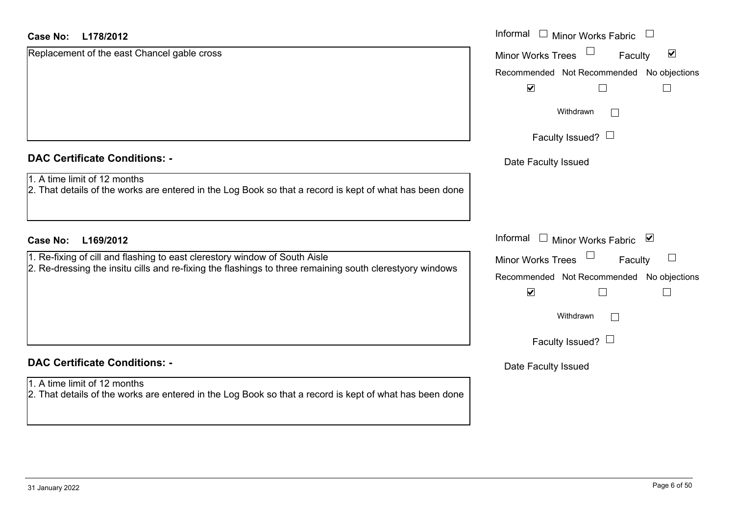| <b>DAC Certificate Conditions: -</b> |  |
|--------------------------------------|--|
|--------------------------------------|--|

## **DAC Certificate Conditions: -**

1. A time limit of 12 months

2. That details of the works are entered in the Log Book so that a record is kept of what has been done

| <b>Case No:</b><br>L178/2012                                                                                                            | Informal □ Minor Works Fabric                                                |
|-----------------------------------------------------------------------------------------------------------------------------------------|------------------------------------------------------------------------------|
| Replacement of the east Chancel gable cross                                                                                             | $\blacktriangledown$<br><b>Minor Works Trees</b><br>Faculty                  |
|                                                                                                                                         | Recommended Not Recommended No objections                                    |
|                                                                                                                                         | $\blacktriangledown$<br>$\Box$                                               |
|                                                                                                                                         | Withdrawn                                                                    |
|                                                                                                                                         | Faculty Issued? $\Box$                                                       |
| <b>DAC Certificate Conditions: -</b>                                                                                                    | Date Faculty Issued                                                          |
| 1. A time limit of 12 months<br>2. That details of the works are entered in the Log Book so that a record is kept of what has been done |                                                                              |
| <b>Case No:</b><br>L169/2012                                                                                                            | Informal<br>⊻<br>$\begin{array}{c} \hline \end{array}$<br>Minor Works Fabric |
| 1. Re-fixing of cill and flashing to east clerestory window of South Aisle                                                              | Minor Works Trees<br>Faculty                                                 |
| 2. Re-dressing the insitu cills and re-fixing the flashings to three remaining south clerestyory windows                                | Recommended Not Recommended<br>No objections                                 |
|                                                                                                                                         | $\blacktriangledown$<br>$\Box$                                               |
|                                                                                                                                         | Withdrawn                                                                    |
|                                                                                                                                         | Faculty Issued? $\Box$                                                       |
| <b>DAC Certificate Conditions: -</b>                                                                                                    | Date Faculty Issued                                                          |
| $\Delta$ A time limit of $\Delta$ months                                                                                                |                                                                              |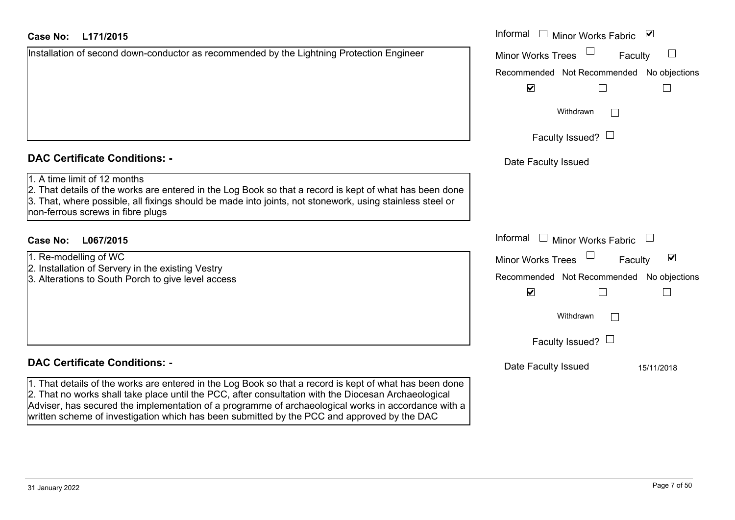| <b>Case No:</b> | L171/2015 |
|-----------------|-----------|
|-----------------|-----------|

|  |  | Installation of second down-conductor as recommended by the Lightning Protection Engineer |  |
|--|--|-------------------------------------------------------------------------------------------|--|
|  |  |                                                                                           |  |
|  |  |                                                                                           |  |
|  |  |                                                                                           |  |
|  |  |                                                                                           |  |

#### **DAC Certificate Conditions: -**

#### 1. A time limit of 12 months

- 2. Installation of Servery in the existing Vestry
- 3. Alterations to South Porch to give level access

### **DAC Certificate Conditions: -**

1. That details of the works are entered in the Log Book so that a record is kept of what has bee 2. That no works shall take place until the PCC, after consultation with the Diocesan Archaeological Adviser, has secured the implementation of a programme of archaeological works in accordance with a written scheme of investigation which has been submitted by the PCC and approved by the DAC

| <b>Case No:</b><br>L171/2015                                                                                                                                                                                                                                                             | Informal $\Box$ Minor Works Fabric $\Box$ |
|------------------------------------------------------------------------------------------------------------------------------------------------------------------------------------------------------------------------------------------------------------------------------------------|-------------------------------------------|
| Installation of second down-conductor as recommended by the Lightning Protection Engineer                                                                                                                                                                                                | <b>Minor Works Trees</b><br>Faculty       |
|                                                                                                                                                                                                                                                                                          | Recommended Not Recommended No objections |
|                                                                                                                                                                                                                                                                                          | $\blacktriangledown$                      |
|                                                                                                                                                                                                                                                                                          | Withdrawn                                 |
|                                                                                                                                                                                                                                                                                          | Faculty Issued? $\Box$                    |
| <b>DAC Certificate Conditions: -</b>                                                                                                                                                                                                                                                     | Date Faculty Issued                       |
| 1. A time limit of 12 months<br>2. That details of the works are entered in the Log Book so that a record is kept of what has been done<br>3. That, where possible, all fixings should be made into joints, not stonework, using stainless steel or<br>non-ferrous screws in fibre plugs |                                           |
| L067/2015<br>Case No:                                                                                                                                                                                                                                                                    | Informal $\Box$ Minor Works Fabric        |
| 1. Re-modelling of WC                                                                                                                                                                                                                                                                    | ☑<br><b>Minor Works Trees</b><br>Faculty  |
| 2. Installation of Servery in the existing Vestry<br>3. Alterations to South Porch to give level access                                                                                                                                                                                  | Recommended Not Recommended No objections |
|                                                                                                                                                                                                                                                                                          | $\blacktriangledown$                      |
|                                                                                                                                                                                                                                                                                          | Withdrawn                                 |
|                                                                                                                                                                                                                                                                                          | Faculty Issued? $\Box$                    |
| <b>DAC Certificate Conditions: -</b>                                                                                                                                                                                                                                                     | Date Faculty Issued<br>15/11/2018         |
| 1. That details of the works are entered in the Log Book so that a record is kept of what has been done                                                                                                                                                                                  |                                           |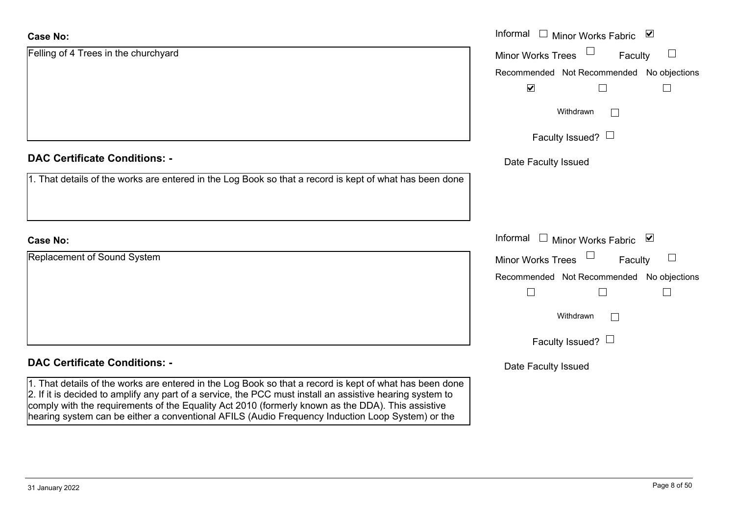| <b>Case No:</b>                                                                                                                                                                                                                                                                                                                                                                                                               | Informal $\Box$<br>Minor Works Fabric ⊠                      |
|-------------------------------------------------------------------------------------------------------------------------------------------------------------------------------------------------------------------------------------------------------------------------------------------------------------------------------------------------------------------------------------------------------------------------------|--------------------------------------------------------------|
| Felling of 4 Trees in the churchyard                                                                                                                                                                                                                                                                                                                                                                                          | <b>Minor Works Trees</b><br>$\Box$<br>Faculty                |
|                                                                                                                                                                                                                                                                                                                                                                                                                               | Recommended Not Recommended No objections                    |
|                                                                                                                                                                                                                                                                                                                                                                                                                               | $\blacktriangleright$<br>$\Box$                              |
|                                                                                                                                                                                                                                                                                                                                                                                                                               | Withdrawn<br>$\vert \hspace{.06cm} \vert$                    |
|                                                                                                                                                                                                                                                                                                                                                                                                                               | Faculty Issued? $\Box$                                       |
| <b>DAC Certificate Conditions: -</b>                                                                                                                                                                                                                                                                                                                                                                                          | Date Faculty Issued                                          |
| 1. That details of the works are entered in the Log Book so that a record is kept of what has been done                                                                                                                                                                                                                                                                                                                       |                                                              |
|                                                                                                                                                                                                                                                                                                                                                                                                                               |                                                              |
| <b>Case No:</b>                                                                                                                                                                                                                                                                                                                                                                                                               | Informal<br>□ Minor Works Fabric $\vert \blacktriangleright$ |
| Replacement of Sound System                                                                                                                                                                                                                                                                                                                                                                                                   | Minor Works Trees<br>Faculty                                 |
|                                                                                                                                                                                                                                                                                                                                                                                                                               | Recommended Not Recommended No objections                    |
|                                                                                                                                                                                                                                                                                                                                                                                                                               | $\Box$<br>$\Box$                                             |
|                                                                                                                                                                                                                                                                                                                                                                                                                               | Withdrawn<br>$\Box$                                          |
|                                                                                                                                                                                                                                                                                                                                                                                                                               | Faculty Issued? $\Box$                                       |
| <b>DAC Certificate Conditions: -</b>                                                                                                                                                                                                                                                                                                                                                                                          | Date Faculty Issued                                          |
| 1. That details of the works are entered in the Log Book so that a record is kept of what has been done<br>2. If it is decided to amplify any part of a service, the PCC must install an assistive hearing system to<br>comply with the requirements of the Equality Act 2010 (formerly known as the DDA). This assistive<br>hearing system can be either a conventional AFILS (Audio Frequency Induction Loop System) or the |                                                              |

 $\sim$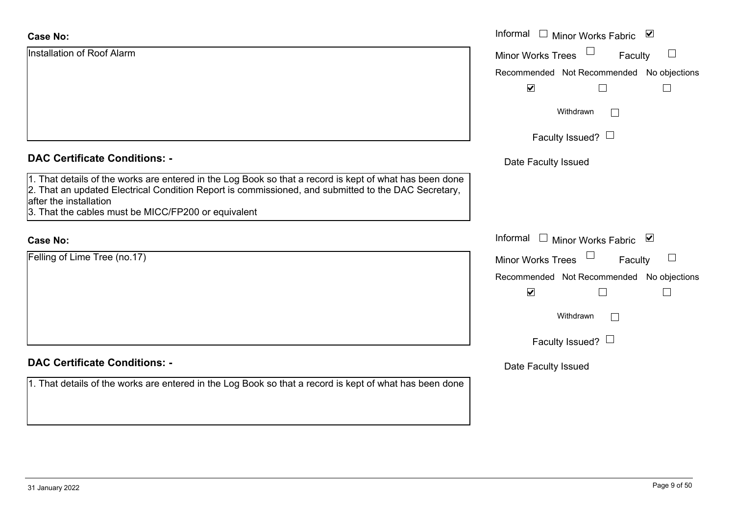| <b>Case No:</b>                                                                                                                                                                                                                                                                                 | Informal □ Minor Works Fabric ☑                         |
|-------------------------------------------------------------------------------------------------------------------------------------------------------------------------------------------------------------------------------------------------------------------------------------------------|---------------------------------------------------------|
| Installation of Roof Alarm                                                                                                                                                                                                                                                                      | $\Box$<br><b>Minor Works Trees</b><br>$\Box$<br>Faculty |
|                                                                                                                                                                                                                                                                                                 | Recommended Not Recommended No objections               |
|                                                                                                                                                                                                                                                                                                 | $\blacktriangledown$<br>$\vert \ \ \vert$               |
|                                                                                                                                                                                                                                                                                                 | Withdrawn<br>$\mathbf{L}$                               |
|                                                                                                                                                                                                                                                                                                 | Faculty Issued? $\Box$                                  |
| <b>DAC Certificate Conditions: -</b>                                                                                                                                                                                                                                                            | Date Faculty Issued                                     |
| 1. That details of the works are entered in the Log Book so that a record is kept of what has been done<br>2. That an updated Electrical Condition Report is commissioned, and submitted to the DAC Secretary,<br>after the installation<br>3. That the cables must be MICC/FP200 or equivalent |                                                         |
| <b>Case No:</b>                                                                                                                                                                                                                                                                                 | Informal $\Box$ Minor Works Fabric $\Box$               |
| Felling of Lime Tree (no.17)                                                                                                                                                                                                                                                                    | Minor Works Trees<br>$\Box$<br>Faculty                  |
|                                                                                                                                                                                                                                                                                                 | Recommended Not Recommended No objections               |
|                                                                                                                                                                                                                                                                                                 | $\blacktriangledown$<br>$\Box$<br>$\Box$                |
|                                                                                                                                                                                                                                                                                                 | Withdrawn                                               |
|                                                                                                                                                                                                                                                                                                 | Faculty Issued? $\Box$                                  |
| <b>DAC Certificate Conditions: -</b>                                                                                                                                                                                                                                                            | Date Faculty Issued                                     |
| 1. That details of the works are entered in the Log Book so that a record is kept of what has been done                                                                                                                                                                                         |                                                         |
|                                                                                                                                                                                                                                                                                                 |                                                         |
|                                                                                                                                                                                                                                                                                                 |                                                         |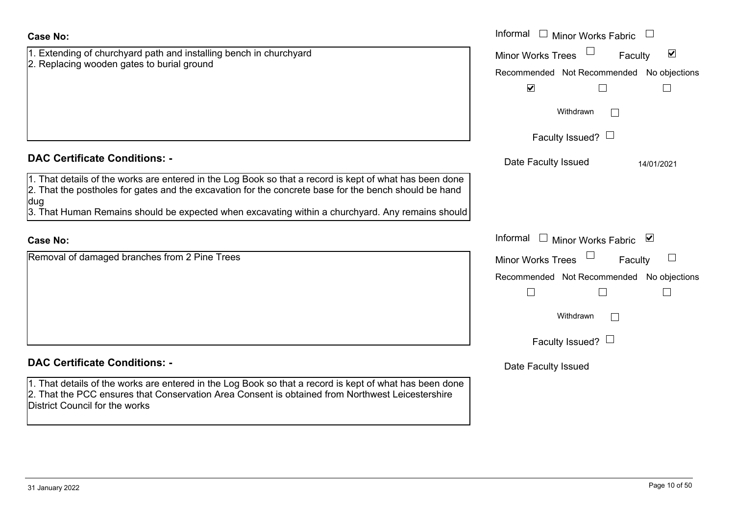| <b>Case No:</b>                                                                                                                                                                                                                                      | Informal $\Box$ Minor Works Fabric                          |
|------------------------------------------------------------------------------------------------------------------------------------------------------------------------------------------------------------------------------------------------------|-------------------------------------------------------------|
| 1. Extending of churchyard path and installing bench in churchyard                                                                                                                                                                                   | $\blacktriangledown$<br><b>Minor Works Trees</b><br>Faculty |
| 2. Replacing wooden gates to burial ground                                                                                                                                                                                                           | Recommended Not Recommended No objections                   |
|                                                                                                                                                                                                                                                      | $\blacktriangledown$<br>$\Box$                              |
|                                                                                                                                                                                                                                                      | Withdrawn                                                   |
|                                                                                                                                                                                                                                                      | Faculty Issued? $\Box$                                      |
| <b>DAC Certificate Conditions: -</b>                                                                                                                                                                                                                 | Date Faculty Issued<br>14/01/2021                           |
| 1. That details of the works are entered in the Log Book so that a record is kept of what has been done<br>2. That the postholes for gates and the excavation for the concrete base for the bench should be hand<br>dug                              |                                                             |
| 3. That Human Remains should be expected when excavating within a churchyard. Any remains should                                                                                                                                                     |                                                             |
| <b>Case No:</b>                                                                                                                                                                                                                                      | Informal<br>$\Box$ Minor Works Fabric $\Box$                |
| Removal of damaged branches from 2 Pine Trees                                                                                                                                                                                                        | <b>Minor Works Trees</b><br>$\Box$<br>Faculty               |
|                                                                                                                                                                                                                                                      | Recommended Not Recommended<br>No objections                |
|                                                                                                                                                                                                                                                      | $\Box$<br>$\mathbf{L}$                                      |
|                                                                                                                                                                                                                                                      | Withdrawn                                                   |
|                                                                                                                                                                                                                                                      | Faculty Issued? $\Box$                                      |
| <b>DAC Certificate Conditions: -</b>                                                                                                                                                                                                                 | Date Faculty Issued                                         |
| 1. That details of the works are entered in the Log Book so that a record is kept of what has been done<br>2. That the PCC ensures that Conservation Area Consent is obtained from Northwest Leicestershire<br><b>District Council for the works</b> |                                                             |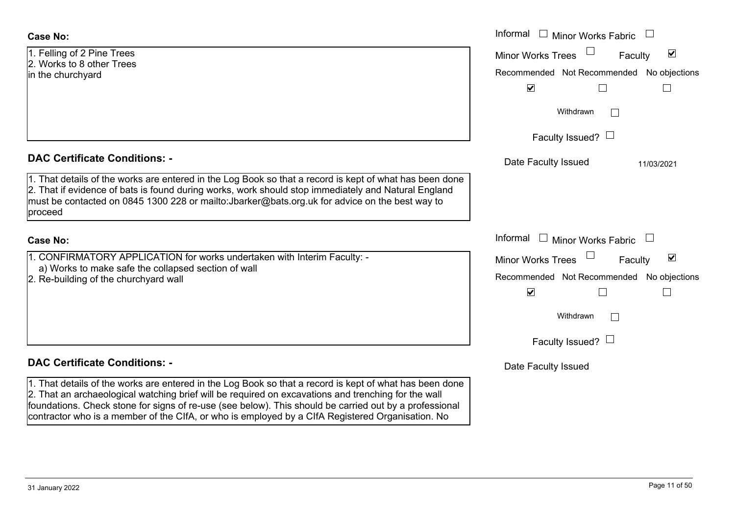1. Felling of 2 Pine Trees 2. Works to 8 other Treesin the churchyard

#### **DAC Certificate Conditions: -**

1. That details of the works are entered in the Log Book so that a record is kept of what has been done 2. That if evidence of bats is found during works, work should stop immediately and Natural England must be contacted on 0845 1300 228 or mailto:Jbarker@bats.org.uk for advice on the best way to proceed

#### **Case No:**

1. CONFIRMATORY APPLICATION for works undertaken with Interim Faculty: a) Works to make safe the collapsed section of wall

2. Re-building of the churchyard wall

### **DAC Certificate Conditions: -**

1. That details of the works are entered in the Log Book so that a record is kept of what has been done 2. That an archaeological watching brief will be required on excavations and trenching for the wall foundations. Check stone for signs of re-use (see below). This should be carried out by a professional contractor who is a member of the CIfA, or who is employed by a CIfA Registered Organisation. No

|                                                                                                                                                                                                                                                                                                                 | Informal $\Box$ Minor Works Fabric $\Box$                                                                                                                               |
|-----------------------------------------------------------------------------------------------------------------------------------------------------------------------------------------------------------------------------------------------------------------------------------------------------------------|-------------------------------------------------------------------------------------------------------------------------------------------------------------------------|
| of 2 Pine Trees<br>to 8 other Trees<br>urchyard                                                                                                                                                                                                                                                                 | $\blacktriangledown$<br>Minor Works Trees<br>Faculty<br>Recommended Not Recommended No objections<br>$\blacktriangledown$                                               |
|                                                                                                                                                                                                                                                                                                                 | Withdrawn<br>Faculty Issued? $\Box$                                                                                                                                     |
| rtificate Conditions: -<br>etails of the works are entered in the Log Book so that a record is kept of what has been done<br>evidence of bats is found during works, work should stop immediately and Natural England<br>contacted on 0845 1300 228 or mailto:Jbarker@bats.org.uk for advice on the best way to | Date Faculty Issued<br>11/03/2021                                                                                                                                       |
|                                                                                                                                                                                                                                                                                                                 | Informal $\Box$ Minor Works Fabric $\Box$                                                                                                                               |
| IRMATORY APPLICATION for works undertaken with Interim Faculty: -<br>ks to make safe the collapsed section of wall<br>Iding of the churchyard wall                                                                                                                                                              | $\blacktriangledown$<br><b>Minor Works Trees</b><br>Faculty<br>Recommended Not Recommended No objections<br>$\blacktriangledown$<br>Withdrawn<br>Faculty Issued? $\Box$ |
| rtificate Conditions: -                                                                                                                                                                                                                                                                                         | Date Faculty Issued                                                                                                                                                     |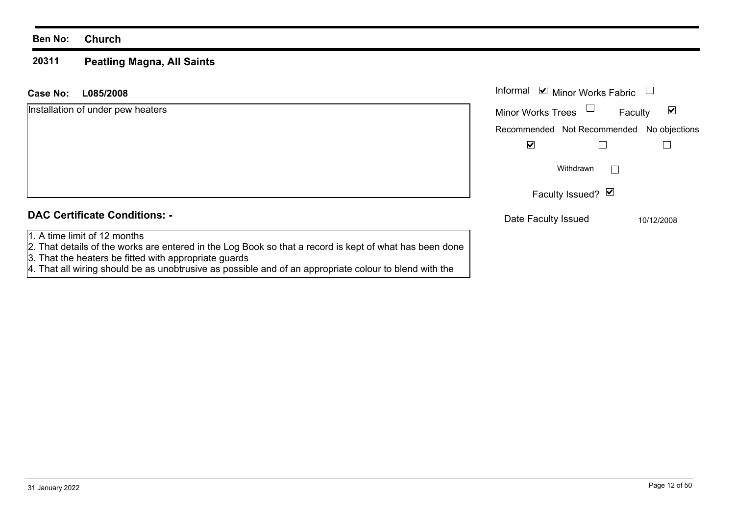#### **20311 Peatling Magna, All Saints**

| Case No:<br>L085/2008                                                                                                                                                                             | Informal <b>v</b> Minor Works Fabric             |                                 |
|---------------------------------------------------------------------------------------------------------------------------------------------------------------------------------------------------|--------------------------------------------------|---------------------------------|
| Installation of under pew heaters                                                                                                                                                                 | <b>Minor Works Trees</b>                         | $\blacktriangledown$<br>Faculty |
|                                                                                                                                                                                                   | Recommended Not Recommended No objections        |                                 |
|                                                                                                                                                                                                   | ⊻                                                |                                 |
|                                                                                                                                                                                                   | Withdrawn                                        | $\mathbf{I}$                    |
|                                                                                                                                                                                                   | Faculty Issued? $\vert \blacktriangleleft \vert$ |                                 |
| <b>DAC Certificate Conditions: -</b>                                                                                                                                                              | Date Faculty Issued                              | 10/12/2008                      |
| 1. A time limit of 12 months<br>[2. That details of the works are entered in the Log Book so that a record is kept of what has been done<br>3. That the heaters be fitted with appropriate guards |                                                  |                                 |

4. That all wiring should be as unobtrusive as possible and of an appropriate colour to blend with the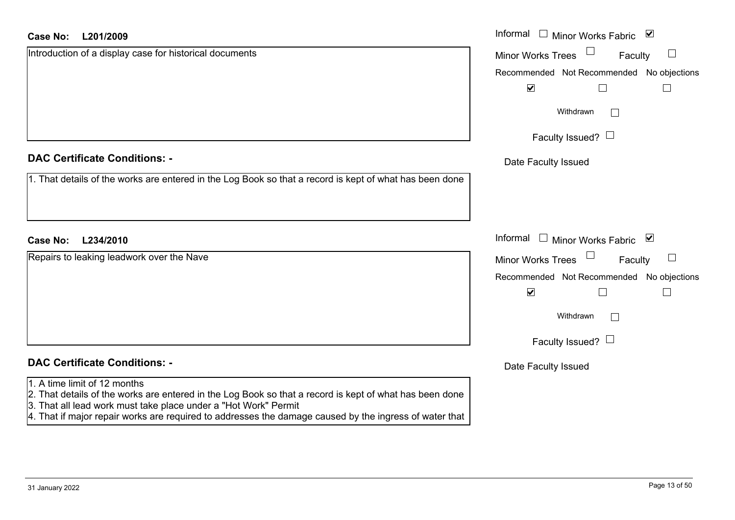| <b>Case No:</b> | L201/2009 |
|-----------------|-----------|
|-----------------|-----------|

| <b>DAC Certificate Conditions: -</b> |  |  |
|--------------------------------------|--|--|
|--------------------------------------|--|--|

## **DAC Certificate Conditions: -**

#### 1. A time limit of 12 months

- 2. That details of the works are entered in the Log Book so that a record is kept of what has been done
- 3. That all lead work must take place under a "Hot Work" Permit
- 4. That if major repair works are required to addresses the damage caused by the ingress of water that

| <b>Case No:</b><br>L201/2009                                                                            | Informal $\Box$ Minor Works Fabric $\Box$           |
|---------------------------------------------------------------------------------------------------------|-----------------------------------------------------|
| Introduction of a display case for historical documents                                                 | Minor Works Trees <sup>1</sup><br>$\Box$<br>Faculty |
|                                                                                                         | Recommended Not Recommended No objections           |
|                                                                                                         | $\blacktriangledown$                                |
|                                                                                                         | Withdrawn                                           |
|                                                                                                         | Faculty Issued? $\Box$                              |
| <b>DAC Certificate Conditions: -</b>                                                                    | Date Faculty Issued                                 |
| 1. That details of the works are entered in the Log Book so that a record is kept of what has been done |                                                     |
|                                                                                                         |                                                     |
| Case No:<br>L234/2010                                                                                   | Informal $\Box$ Minor Works Fabric $\Box$           |
| Repairs to leaking leadwork over the Nave                                                               | Minor Works Trees $\Box$<br>Faculty<br>$\Box$       |
|                                                                                                         | Recommended Not Recommended No objections           |
|                                                                                                         | $\blacktriangledown$<br>$\Box$                      |
|                                                                                                         | Withdrawn<br>$\vert \ \ \vert$                      |
|                                                                                                         | Faculty Issued? $\Box$                              |
| <b>DAC Certificate Conditions: -</b>                                                                    | Date Faculty Issued                                 |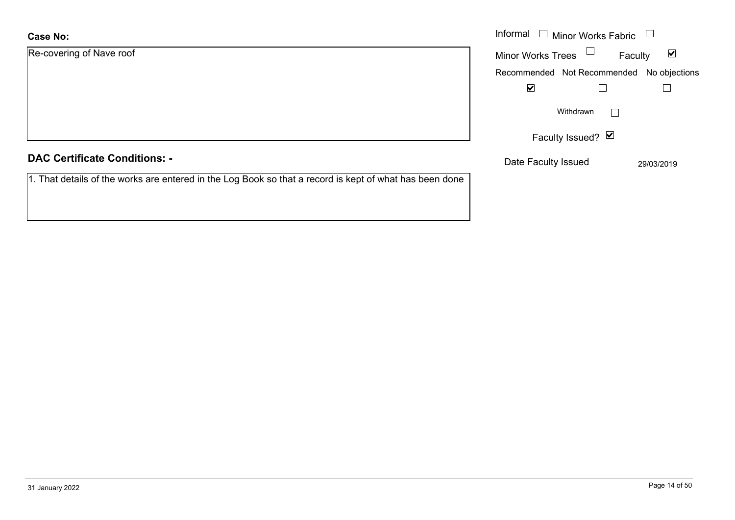| <b>Case No:</b>                                                                                         | Informal $\Box$ Minor Works Fabric $\Box$     |                         |
|---------------------------------------------------------------------------------------------------------|-----------------------------------------------|-------------------------|
| Re-covering of Nave roof                                                                                | $\Box$<br><b>Minor Works Trees</b><br>Faculty | $\overline{\mathbf{v}}$ |
|                                                                                                         | Recommended Not Recommended No objections     |                         |
|                                                                                                         | $\blacktriangledown$                          |                         |
|                                                                                                         | Withdrawn                                     |                         |
|                                                                                                         | Faculty Issued? $\blacksquare$                |                         |
| <b>DAC Certificate Conditions: -</b>                                                                    | Date Faculty Issued                           | 29/03/2019              |
| 1. That details of the works are entered in the Log Book so that a record is kept of what has been done |                                               |                         |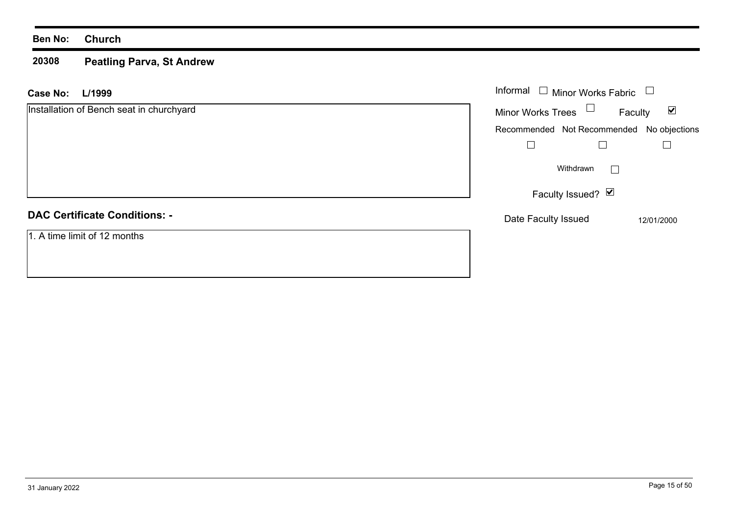#### **20308 Peatling Parva, St Andrew**

| <b>Case No:</b><br>L/1999                | Informal $\square$<br>Minor Works Fabric  |                                 |
|------------------------------------------|-------------------------------------------|---------------------------------|
| Installation of Bench seat in churchyard | Minor Works Trees $\Box$                  | $\blacktriangledown$<br>Faculty |
|                                          | Recommended Not Recommended No objections |                                 |
|                                          |                                           |                                 |
|                                          | Withdrawn                                 | $\mathbf{I}$                    |
|                                          | Faculty Issued? Ø                         |                                 |
| <b>DAC Certificate Conditions: -</b>     | Date Faculty Issued                       | 12/01/2000                      |
| 1. A time limit of 12 months             |                                           |                                 |
|                                          |                                           |                                 |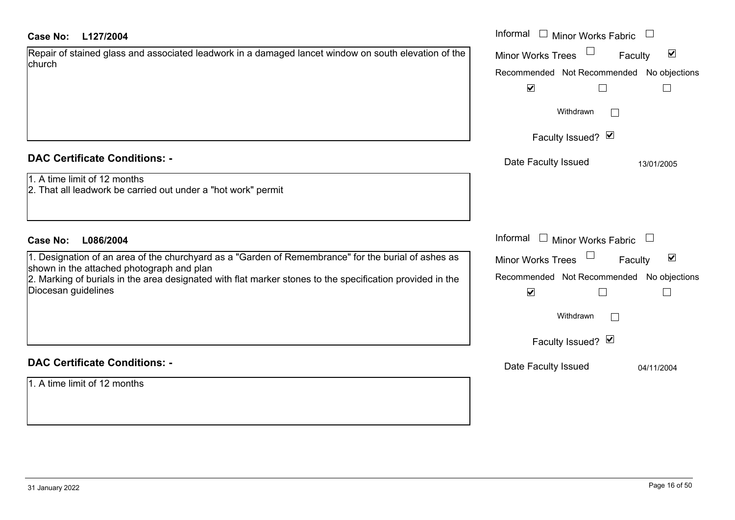| L127/2004<br>Case No:                                                                                                                            | Informal $\Box$ Minor Works Fabric $\Box$                   |
|--------------------------------------------------------------------------------------------------------------------------------------------------|-------------------------------------------------------------|
| Repair of stained glass and associated leadwork in a damaged lancet window on south elevation of the<br>church                                   | $\blacktriangledown$<br><b>Minor Works Trees</b><br>Faculty |
|                                                                                                                                                  | Recommended Not Recommended No objections                   |
|                                                                                                                                                  | $\blacktriangledown$                                        |
|                                                                                                                                                  | Withdrawn<br>$\perp$                                        |
|                                                                                                                                                  | Faculty Issued? Ø                                           |
| <b>DAC Certificate Conditions: -</b>                                                                                                             | Date Faculty Issued<br>13/01/2005                           |
| 1. A time limit of 12 months<br>2. That all leadwork be carried out under a "hot work" permit                                                    |                                                             |
|                                                                                                                                                  |                                                             |
| <b>Case No:</b><br>L086/2004                                                                                                                     | Informal<br>$\Box$ Minor Works Fabric $\Box$                |
| 1. Designation of an area of the churchyard as a "Garden of Remembrance" for the burial of ashes as<br>shown in the attached photograph and plan | $\blacktriangledown$<br><b>Minor Works Trees</b><br>Faculty |
| 2. Marking of burials in the area designated with flat marker stones to the specification provided in the                                        | Recommended Not Recommended No objections                   |
| Diocesan guidelines                                                                                                                              | $\blacktriangledown$                                        |
|                                                                                                                                                  | Withdrawn                                                   |
|                                                                                                                                                  | Faculty Issued? Ø                                           |
| <b>DAC Certificate Conditions: -</b>                                                                                                             | Date Faculty Issued<br>04/11/2004                           |
| 1. A time limit of 12 months                                                                                                                     |                                                             |
|                                                                                                                                                  |                                                             |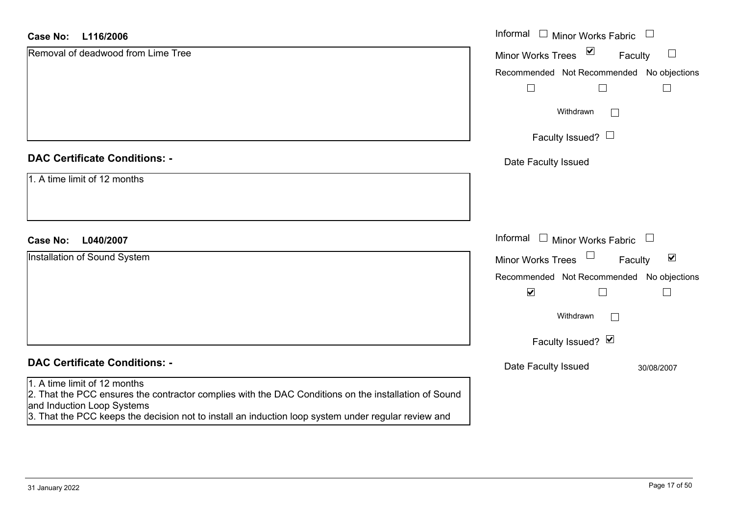#### **L116/2006Case No:**

| L116/2006<br>Case No:                                                                                                              | Informal □ Minor Works Fabric<br>$\overline{\phantom{a}}$                   |
|------------------------------------------------------------------------------------------------------------------------------------|-----------------------------------------------------------------------------|
| Removal of deadwood from Lime Tree                                                                                                 | $\overline{\mathbf{v}}$<br>$\Box$<br><b>Minor Works Trees</b><br>Faculty    |
|                                                                                                                                    | Recommended Not Recommended<br>No objections                                |
|                                                                                                                                    | $\perp$<br>L                                                                |
|                                                                                                                                    | Withdrawn<br>$\Box$                                                         |
|                                                                                                                                    | Faculty Issued? $\Box$                                                      |
| <b>DAC Certificate Conditions: -</b>                                                                                               | Date Faculty Issued                                                         |
| 1. A time limit of 12 months                                                                                                       |                                                                             |
|                                                                                                                                    |                                                                             |
| L040/2007<br><b>Case No:</b>                                                                                                       | Informal<br>$\perp$<br>Minor Works Fabric<br>$\overline{\phantom{a}}$       |
| Installation of Sound System                                                                                                       | $\Box$<br>$\blacktriangledown$<br><b>Minor Works Trees</b><br>Faculty       |
|                                                                                                                                    |                                                                             |
|                                                                                                                                    | Recommended Not Recommended No objections<br>$\blacktriangledown$<br>$\Box$ |
|                                                                                                                                    |                                                                             |
|                                                                                                                                    | Withdrawn<br>$\overline{\phantom{0}}$                                       |
|                                                                                                                                    | Faculty Issued? Ø                                                           |
| <b>DAC Certificate Conditions: -</b>                                                                                               | Date Faculty Issued<br>30/08/2007                                           |
| 1. A time limit of 12 months                                                                                                       |                                                                             |
| 2. That the PCC ensures the contractor complies with the DAC Conditions on the installation of Sound<br>and Induction Loop Systems |                                                                             |
| 3. That the PCC keeps the decision not to install an induction loop system under regular review and                                |                                                                             |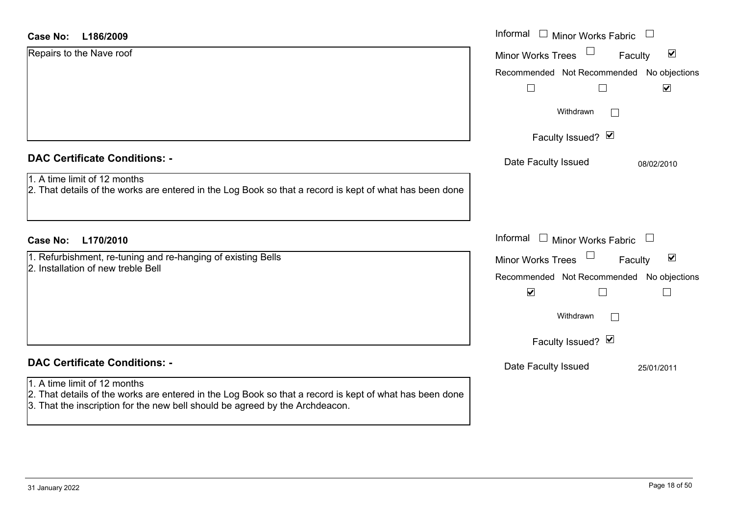#### **L186/2009Case No:**

| <b>Case No:</b><br>L186/2009                                                                                                                                                                                            | Informal □ Minor Works Fabric                                                  |
|-------------------------------------------------------------------------------------------------------------------------------------------------------------------------------------------------------------------------|--------------------------------------------------------------------------------|
| Repairs to the Nave roof                                                                                                                                                                                                | $\blacktriangledown$<br><b>Minor Works Trees</b><br>Faculty                    |
|                                                                                                                                                                                                                         | Recommended Not Recommended No objections<br>$\blacktriangledown$<br>$\Box$    |
|                                                                                                                                                                                                                         | Withdrawn                                                                      |
|                                                                                                                                                                                                                         | Faculty Issued? Ø                                                              |
| <b>DAC Certificate Conditions: -</b>                                                                                                                                                                                    | Date Faculty Issued<br>08/02/2010                                              |
| 1. A time limit of 12 months<br>2. That details of the works are entered in the Log Book so that a record is kept of what has been done                                                                                 |                                                                                |
| L170/2010<br>Case No:                                                                                                                                                                                                   | Informal<br>$\Box$ Minor Works Fabric<br>$\begin{array}{c} \hline \end{array}$ |
| 1. Refurbishment, re-tuning and re-hanging of existing Bells<br>2. Installation of new treble Bell                                                                                                                      | $\blacktriangledown$<br>Minor Works Trees<br>Faculty                           |
|                                                                                                                                                                                                                         | Recommended Not Recommended No objections<br>$\blacktriangledown$              |
|                                                                                                                                                                                                                         | Withdrawn<br>$\mathbf{L}$                                                      |
|                                                                                                                                                                                                                         | Faculty Issued? Ø                                                              |
| <b>DAC Certificate Conditions: -</b>                                                                                                                                                                                    | Date Faculty Issued<br>25/01/2011                                              |
| 1. A time limit of 12 months<br>2. That details of the works are entered in the Log Book so that a record is kept of what has been done<br>3. That the inscription for the new bell should be agreed by the Archdeacon. |                                                                                |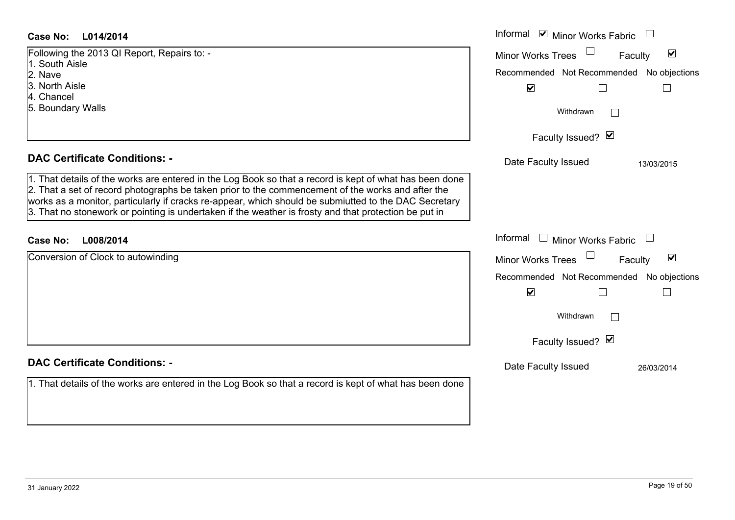#### **L014/2014 Case No:** Informal

| Following the 2013 QI Report, Repairs to: -<br>1. South Aisle                                                                                                                                                                                                                                                         | Minor W  |
|-----------------------------------------------------------------------------------------------------------------------------------------------------------------------------------------------------------------------------------------------------------------------------------------------------------------------|----------|
| 2. Nave                                                                                                                                                                                                                                                                                                               | Recomm   |
| l3. North Aisle                                                                                                                                                                                                                                                                                                       |          |
| 4. Chancel                                                                                                                                                                                                                                                                                                            |          |
| 5. Boundary Walls                                                                                                                                                                                                                                                                                                     |          |
|                                                                                                                                                                                                                                                                                                                       |          |
|                                                                                                                                                                                                                                                                                                                       |          |
|                                                                                                                                                                                                                                                                                                                       |          |
| <b>DAC Certificate Conditions: -</b>                                                                                                                                                                                                                                                                                  | Date I   |
| 1. That details of the works are entered in the Log Book so that a record is kept of what has been done<br>2. That a set of record photographs be taken prior to the commencement of the works and after the<br>works as a monitor, particularly if cracks re-appear, which should be submiutted to the DAC Secretary |          |
| 3. That no stonework or pointing is undertaken if the weather is frosty and that protection be put in                                                                                                                                                                                                                 |          |
| Case No:<br>L008/2014                                                                                                                                                                                                                                                                                                 | Informal |
| Conversion of Clock to autowinding                                                                                                                                                                                                                                                                                    | Minor W  |

#### **DAC Certificate Conditions: -**

1. That details of the works are entered in the Log Book so that a record is kept of what has been do

|     | Informal ⊠ Minor Works Fabric                                     |
|-----|-------------------------------------------------------------------|
|     | $\blacktriangledown$<br><b>Minor Works Trees</b><br>Faculty       |
|     | Recommended Not Recommended No objections<br>☑                    |
|     | Withdrawn                                                         |
|     | Faculty Issued? Ø                                                 |
|     | Date Faculty Issued<br>13/03/2015                                 |
| one |                                                                   |
| ary |                                                                   |
|     | Informal<br>$\Box$ Minor Works Fabric                             |
|     | $\overline{\mathbf{v}}$<br><b>Minor Works Trees</b><br>Faculty    |
|     | Recommended Not Recommended No objections<br>$\blacktriangledown$ |
|     | Withdrawn                                                         |
|     | Faculty Issued? Ø                                                 |
|     | Date Faculty Issued<br>26/03/2014                                 |
| one |                                                                   |
|     |                                                                   |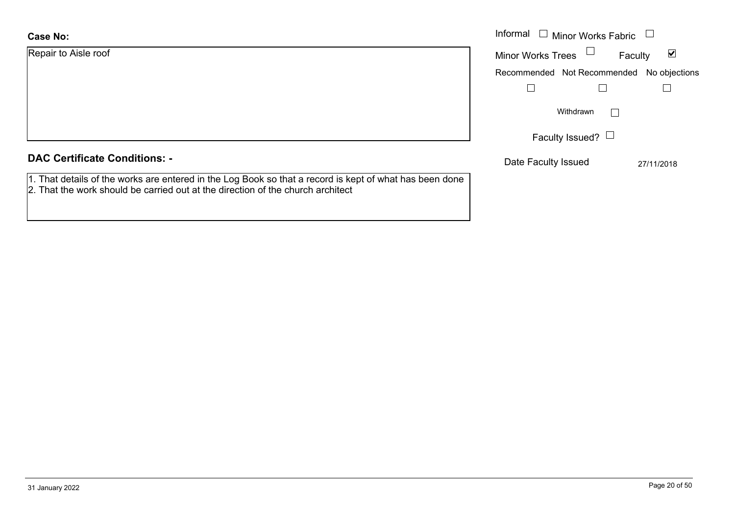| <b>Case No:</b>      | Informal |
|----------------------|----------|
| Repair to Aisle roof | Minor W  |
|                      | Recomm   |
|                      |          |
|                      |          |

### **DAC Certificate Conditions: -**

1. That details of the works are entered in the Log Book so that a record is kept of what has been done 2. That the work should be carried out at the direction of the church architect

| Informal<br>$\Box$ Minor Works Fabric |                                           |                                    |
|---------------------------------------|-------------------------------------------|------------------------------------|
|                                       | <b>Minor Works Trees</b>                  | $\vert\mathcal{V}\vert$<br>Faculty |
|                                       | Recommended Not Recommended No objections |                                    |
|                                       |                                           |                                    |
|                                       | Withdrawn                                 |                                    |
|                                       | Faculty Issued?                           |                                    |
|                                       | Date Faculty Issued                       | 27/11/2018                         |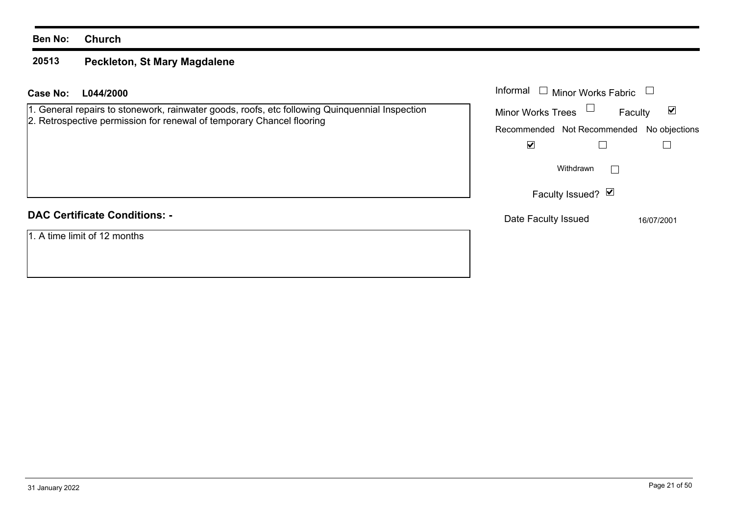#### **20513 Peckleton, St Mary Magdalene**

| L044/2000<br>Case No:                                                                                                                                                   | Informal<br><b>Minor Works Fabric</b>     |                                 |
|-------------------------------------------------------------------------------------------------------------------------------------------------------------------------|-------------------------------------------|---------------------------------|
| 1. General repairs to stonework, rainwater goods, roofs, etc following Quinquennial Inspection<br>2. Retrospective permission for renewal of temporary Chancel flooring | Minor Works Trees $\Box$                  | $\blacktriangledown$<br>Faculty |
|                                                                                                                                                                         | Recommended Not Recommended No objections |                                 |
|                                                                                                                                                                         | ☑                                         |                                 |
|                                                                                                                                                                         | Withdrawn                                 |                                 |
|                                                                                                                                                                         | Faculty Issued? Ø                         |                                 |
| <b>DAC Certificate Conditions: -</b>                                                                                                                                    | Date Faculty Issued                       | 16/07/2001                      |
| 1. A time limit of 12 months                                                                                                                                            |                                           |                                 |
|                                                                                                                                                                         |                                           |                                 |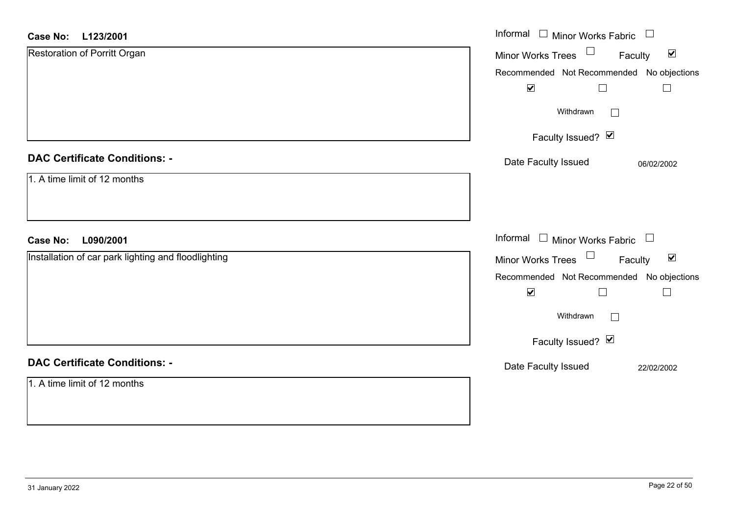| <b>Case No:</b><br>L123/2001                        | Informal □ Minor Works Fabric<br>$\Box$                        |
|-----------------------------------------------------|----------------------------------------------------------------|
| Restoration of Porritt Organ                        | $\Box$<br>$\blacktriangledown$<br>Minor Works Trees<br>Faculty |
|                                                     | Recommended Not Recommended No objections                      |
|                                                     | $\blacktriangledown$                                           |
|                                                     | Withdrawn<br>$\Box$                                            |
|                                                     | Faculty Issued? Ø                                              |
| <b>DAC Certificate Conditions: -</b>                | Date Faculty Issued<br>06/02/2002                              |
| 1. A time limit of 12 months                        |                                                                |
|                                                     |                                                                |
|                                                     |                                                                |
| L090/2001<br><b>Case No:</b>                        | Informal $\Box$ Minor Works Fabric $\Box$                      |
| Installation of car park lighting and floodlighting | Minor Works Trees<br>$\blacktriangledown$<br>Faculty           |
|                                                     | Recommended Not Recommended No objections                      |
|                                                     | $\blacktriangledown$<br>$\Box$                                 |
|                                                     | Withdrawn                                                      |
|                                                     | Faculty Issued? Ø                                              |
| <b>DAC Certificate Conditions: -</b>                | Date Faculty Issued<br>22/02/2002                              |
| 1. A time limit of 12 months                        |                                                                |
|                                                     |                                                                |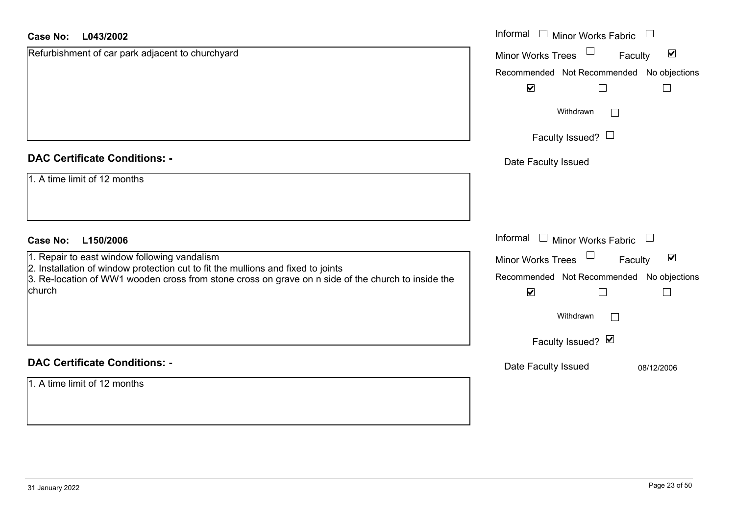| <b>Case No:</b><br>L043/2002                                                                                                                                                           | Informal □ Minor Works Fabric                                  |
|----------------------------------------------------------------------------------------------------------------------------------------------------------------------------------------|----------------------------------------------------------------|
| Refurbishment of car park adjacent to churchyard                                                                                                                                       | $\Box$<br>$\blacktriangledown$<br>Minor Works Trees<br>Faculty |
|                                                                                                                                                                                        | Recommended Not Recommended No objections                      |
|                                                                                                                                                                                        | $\blacktriangledown$                                           |
|                                                                                                                                                                                        | Withdrawn<br>$\Box$                                            |
|                                                                                                                                                                                        | Faculty Issued? $\Box$                                         |
| <b>DAC Certificate Conditions: -</b>                                                                                                                                                   | Date Faculty Issued                                            |
| 1. A time limit of 12 months                                                                                                                                                           |                                                                |
|                                                                                                                                                                                        |                                                                |
| <b>Case No:</b><br>L150/2006                                                                                                                                                           | Informal<br>$\Box$ Minor Works Fabric                          |
| 1. Repair to east window following vandalism                                                                                                                                           | $\blacktriangledown$<br>Faculty<br><b>Minor Works Trees</b>    |
| 2. Installation of window protection cut to fit the mullions and fixed to joints<br>3. Re-location of WW1 wooden cross from stone cross on grave on n side of the church to inside the | Recommended Not Recommended No objections                      |
| church                                                                                                                                                                                 | $\blacktriangledown$                                           |
|                                                                                                                                                                                        | Withdrawn                                                      |
|                                                                                                                                                                                        | Faculty Issued? Ø                                              |
| <b>DAC Certificate Conditions: -</b>                                                                                                                                                   | Date Faculty Issued<br>08/12/2006                              |
| $1.$ A time limit of 12 months                                                                                                                                                         |                                                                |
|                                                                                                                                                                                        |                                                                |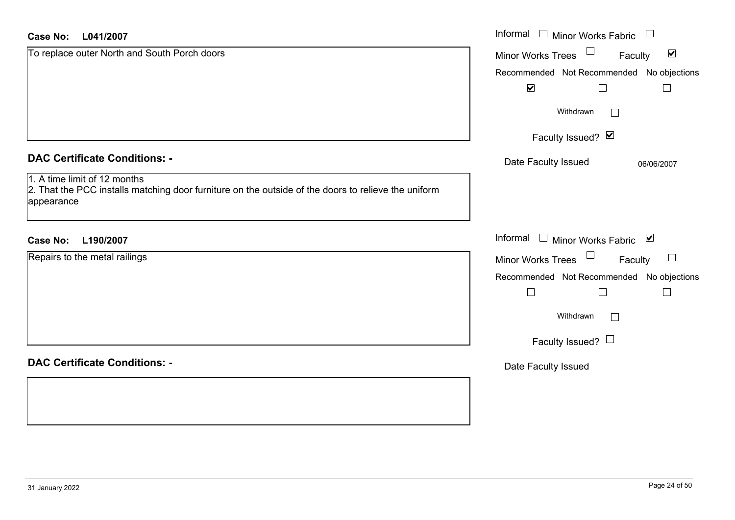| L041/2007<br><b>Case No:</b>                                                                                                                      | Informal □ Minor Works Fabric<br>$\begin{array}{c} \hline \end{array}$ |
|---------------------------------------------------------------------------------------------------------------------------------------------------|------------------------------------------------------------------------|
| To replace outer North and South Porch doors                                                                                                      | Minor Works Trees $\Box$<br>$\blacktriangledown$<br>Faculty            |
|                                                                                                                                                   | Recommended Not Recommended No objections                              |
|                                                                                                                                                   | $\blacktriangledown$<br>$\Box$                                         |
|                                                                                                                                                   | Withdrawn<br>$\Box$                                                    |
|                                                                                                                                                   | Faculty Issued? Ø                                                      |
| <b>DAC Certificate Conditions: -</b>                                                                                                              | Date Faculty Issued<br>06/06/2007                                      |
| 1. A time limit of 12 months<br>2. That the PCC installs matching door furniture on the outside of the doors to relieve the uniform<br>appearance |                                                                        |
| <b>Case No:</b><br>L190/2007                                                                                                                      | Informal □ Minor Works Fabric ⊠                                        |
| Repairs to the metal railings                                                                                                                     | Minor Works Trees <sup>1</sup><br>Faculty<br>$\Box$                    |
|                                                                                                                                                   | Recommended Not Recommended No objections                              |
|                                                                                                                                                   | $\Box$<br>$\Box$<br>$\Box$                                             |
|                                                                                                                                                   | Withdrawn<br>$\Box$                                                    |
|                                                                                                                                                   | Faculty Issued? $\Box$                                                 |
| <b>DAC Certificate Conditions: -</b>                                                                                                              | Date Faculty Issued                                                    |
|                                                                                                                                                   |                                                                        |
|                                                                                                                                                   |                                                                        |
|                                                                                                                                                   |                                                                        |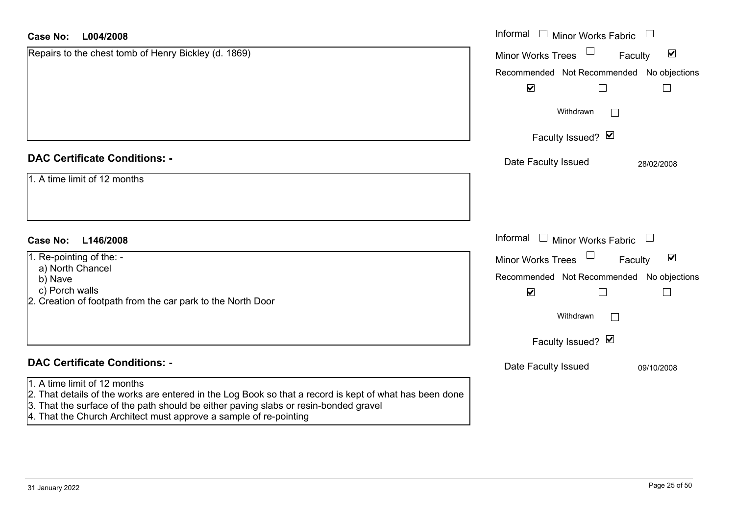| <b>Case No:</b><br>L004/2008                                                                                                                                                                                                                                                                         | Informal □ Minor Works Fabric                               |
|------------------------------------------------------------------------------------------------------------------------------------------------------------------------------------------------------------------------------------------------------------------------------------------------------|-------------------------------------------------------------|
| Repairs to the chest tomb of Henry Bickley (d. 1869)                                                                                                                                                                                                                                                 | $\blacktriangledown$<br><b>Minor Works Trees</b><br>Faculty |
|                                                                                                                                                                                                                                                                                                      | Recommended Not Recommended No objections                   |
|                                                                                                                                                                                                                                                                                                      | $\blacktriangledown$<br>$\Box$<br>$\Box$                    |
|                                                                                                                                                                                                                                                                                                      | Withdrawn                                                   |
|                                                                                                                                                                                                                                                                                                      | Faculty Issued? Ø                                           |
| <b>DAC Certificate Conditions: -</b>                                                                                                                                                                                                                                                                 | Date Faculty Issued<br>28/02/2008                           |
| 1. A time limit of 12 months                                                                                                                                                                                                                                                                         |                                                             |
|                                                                                                                                                                                                                                                                                                      |                                                             |
|                                                                                                                                                                                                                                                                                                      |                                                             |
| <b>Case No:</b><br>L146/2008                                                                                                                                                                                                                                                                         | Informal $\Box$ Minor Works Fabric                          |
| 1. Re-pointing of the: -                                                                                                                                                                                                                                                                             | $\blacktriangledown$<br><b>Minor Works Trees</b><br>Faculty |
| a) North Chancel<br>b) Nave                                                                                                                                                                                                                                                                          | Recommended Not Recommended No objections                   |
| c) Porch walls                                                                                                                                                                                                                                                                                       | $\blacktriangledown$<br>$\Box$<br>$\Box$                    |
| 2. Creation of footpath from the car park to the North Door                                                                                                                                                                                                                                          | Withdrawn                                                   |
|                                                                                                                                                                                                                                                                                                      | Faculty Issued? Ø                                           |
|                                                                                                                                                                                                                                                                                                      |                                                             |
| <b>DAC Certificate Conditions: -</b>                                                                                                                                                                                                                                                                 | Date Faculty Issued<br>09/10/2008                           |
| 1. A time limit of 12 months<br>2. That details of the works are entered in the Log Book so that a record is kept of what has been done<br>3. That the surface of the path should be either paving slabs or resin-bonded gravel<br>4. That the Church Architect must approve a sample of re-pointing |                                                             |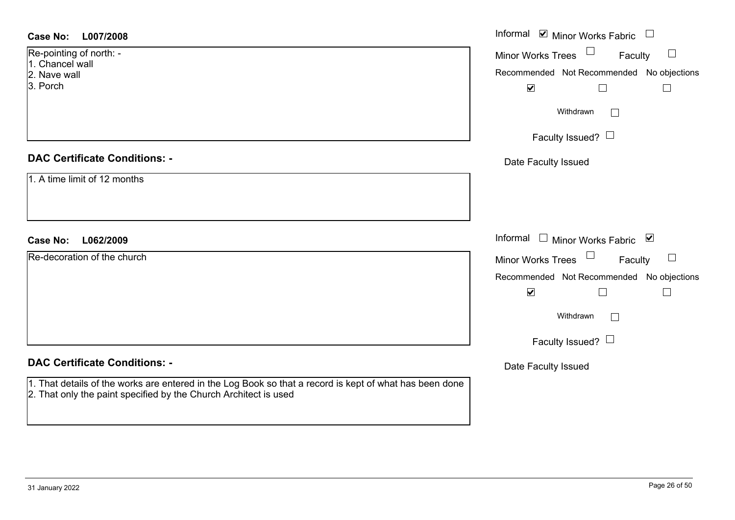| <b>Case No:</b><br>L007/2008         | Informal $\blacksquare$ Minor Works Fabric $\Box$ |
|--------------------------------------|---------------------------------------------------|
| Re-pointing of north: -              | Minor Works Trees<br>Faculty                      |
| 1. Chancel wall<br>2. Nave wall      | Recommended Not Recommended No objections         |
| 3. Porch                             | $\blacktriangledown$<br>$\Box$<br>$\Box$          |
|                                      | Withdrawn                                         |
|                                      | Faculty Issued?                                   |
| <b>DAC Certificate Conditions: -</b> | Date Faculty Issued                               |
| 1. A time limit of 12 months         |                                                   |
|                                      |                                                   |
|                                      |                                                   |
| <b>Case No:</b><br>L062/2009         | Informal $\Box$ Minor Works Fabric $\Box$         |
| Re-decoration of the church          | $\Box$<br>Minor Works Trees<br>Faculty            |
|                                      | Recommended Not Recommended No objections         |
|                                      | $\blacktriangledown$<br>$\Box$<br>$\Box$          |
|                                      | Withdrawn<br>$\sim$                               |
|                                      |                                                   |
|                                      | Faculty Issued? $\Box$                            |
| <b>DAC Certificate Conditions: -</b> | Date Faculty Issued                               |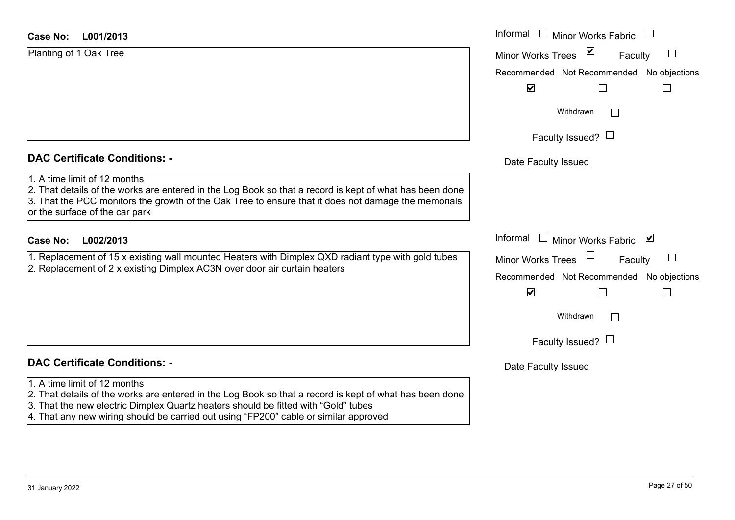#### **DAC Certificate Conditions: -**

#### 1. A time limit of 12 months

#### **DAC Certificate Conditions: -**

- 1. A time limit of 12 months
- 2. That details of the works are entered in the Log Book so that a record is kept of what has been done
- 3. That the new electric Dimplex Quartz heaters should be fitted with "Gold" tubes
- 4. That any new wiring should be carried out using "FP200" cable or similar approved

| <b>Case No:</b><br>L001/2013                                                                                                                                                                                                                                                                                             | Informal □ Minor Works Fabric                                                                                                                        |
|--------------------------------------------------------------------------------------------------------------------------------------------------------------------------------------------------------------------------------------------------------------------------------------------------------------------------|------------------------------------------------------------------------------------------------------------------------------------------------------|
| Planting of 1 Oak Tree                                                                                                                                                                                                                                                                                                   | $\sum$<br>Minor Works Trees<br>$\begin{array}{c} \hline \end{array}$<br>Faculty<br>Recommended Not Recommended No objections<br>$\blacktriangledown$ |
|                                                                                                                                                                                                                                                                                                                          | Withdrawn<br>Faculty Issued? $\Box$                                                                                                                  |
| <b>DAC Certificate Conditions: -</b><br>1. A time limit of 12 months<br>2. That details of the works are entered in the Log Book so that a record is kept of what has been done<br>3. That the PCC monitors the growth of the Oak Tree to ensure that it does not damage the memorials<br>or the surface of the car park | Date Faculty Issued                                                                                                                                  |
| L002/2013<br><b>Case No:</b>                                                                                                                                                                                                                                                                                             | Informal $\Box$ Minor Works Fabric $\Box$                                                                                                            |
| 1. Replacement of 15 x existing wall mounted Heaters with Dimplex QXD radiant type with gold tubes<br>2. Replacement of 2 x existing Dimplex AC3N over door air curtain heaters                                                                                                                                          | <b>Minor Works Trees</b><br>Faculty<br>Recommended Not Recommended No objections<br>$\blacktriangledown$<br>$\overline{\phantom{a}}$                 |
|                                                                                                                                                                                                                                                                                                                          | Withdrawn<br>Faculty Issued? $\Box$                                                                                                                  |
| <b>DAC Certificate Conditions: -</b>                                                                                                                                                                                                                                                                                     | Date Faculty Issued                                                                                                                                  |
|                                                                                                                                                                                                                                                                                                                          |                                                                                                                                                      |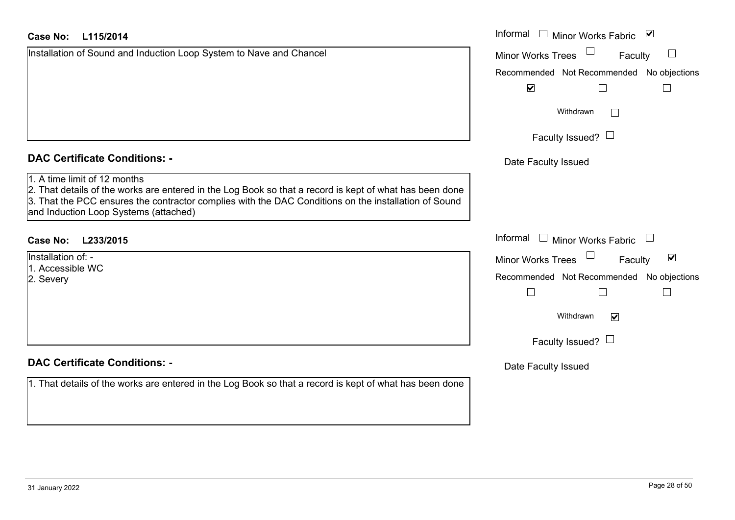Installation of Sound and Induction Loop System to Nave and Chancel

### **DAC Certificate Conditions: -**

#### 1. A time limit of 12 months

2. That details of the works are entered in the Log Book so that a record is kept of what has been 3. That the PCC ensures the contractor complies with the DAC Conditions on the installation of So and Induction Loop Systems (attached)

## **L233/2015Case No:** Informal

Installation of: -1. Accessible WC2. Severy

## **DAC Certificate Conditions: -**

1. That details of the works are entered in the Log Book so that a record is kept of what has been

| L115/2014                                                                                                                                                                                                                                            | Informal<br>$\blacktriangledown$<br>$\Box$<br><b>Minor Works Fabric</b> |
|------------------------------------------------------------------------------------------------------------------------------------------------------------------------------------------------------------------------------------------------------|-------------------------------------------------------------------------|
| on of Sound and Induction Loop System to Nave and Chancel                                                                                                                                                                                            | <b>Minor Works Trees</b><br>Faculty                                     |
|                                                                                                                                                                                                                                                      | Recommended Not Recommended No objections                               |
|                                                                                                                                                                                                                                                      | $\blacktriangledown$                                                    |
|                                                                                                                                                                                                                                                      | Withdrawn<br>П                                                          |
|                                                                                                                                                                                                                                                      | Faculty Issued? $\Box$                                                  |
| rtificate Conditions: -                                                                                                                                                                                                                              | Date Faculty Issued                                                     |
| limit of 12 months<br>etails of the works are entered in the Log Book so that a record is kept of what has been done<br>ne PCC ensures the contractor complies with the DAC Conditions on the installation of Sound<br>ction Loop Systems (attached) |                                                                         |
| L233/2015                                                                                                                                                                                                                                            | Informal<br><b>Minor Works Fabric</b>                                   |
| n of: -                                                                                                                                                                                                                                              | $\blacktriangledown$<br>Minor Works Trees<br>Faculty                    |
| sible WC                                                                                                                                                                                                                                             | Recommended Not Recommended No objections                               |
|                                                                                                                                                                                                                                                      |                                                                         |
|                                                                                                                                                                                                                                                      | Withdrawn<br>$\blacktriangledown$                                       |
|                                                                                                                                                                                                                                                      | Faculty Issued? $\Box$                                                  |
| rtificate Conditions: -                                                                                                                                                                                                                              | Date Faculty Issued                                                     |
| etails of the works are entered in the Log Book so that a record is kept of what has been done                                                                                                                                                       |                                                                         |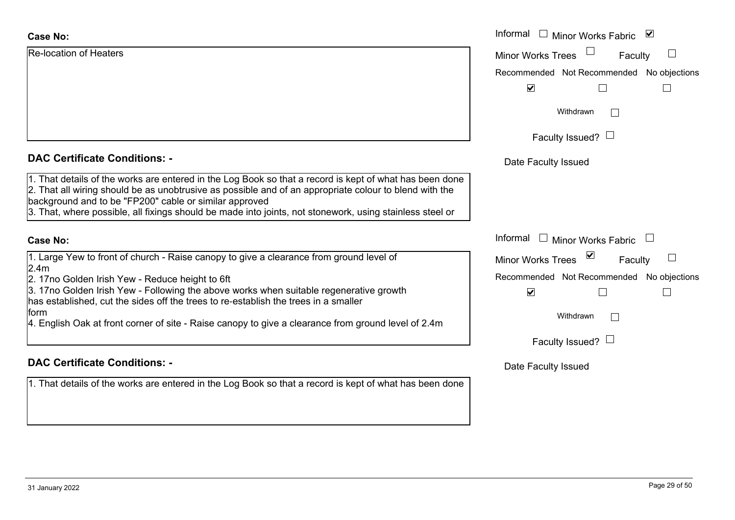| Informal<br>Minor        |
|--------------------------|
| <b>Minor Works Trees</b> |
| Recommended Not          |
| $\blacktriangledown$     |
| Withd                    |
| <b>Faculty Iss</b>       |
|                          |

#### **DAC Certificate Conditions: -**

1. That details of the works are entered in the Log Book so that a record is kept of what has been done 2. That all wiring should be as unobtrusive as possible and of an appropriate colour to blend with the background and to be "FP200" cable or similar approved 3. That, where possible, all fixings should be made into joints, not stonework, using stainless steel or

#### **Case No:**

1. Large Yew to front of church - Raise canopy to give a clearance from ground level of 2.4m

2. 17no Golden Irish Yew - Reduce height to 6ft

3. 17no Golden Irish Yew - Following the above works when suitable regenerative growth has established, cut the sides off the trees to re-establish the trees in a smaller form

4. English Oak at front corner of site - Raise canopy to give a clearance from ground level of 2.4m

## **DAC Certificate Conditions: -**

1. That details of the works are entered in the Log Book so that a record is kept of what has been done

|                                                                                                                                                                                                                                                                                                                                                       | Informal $\square$<br>$\blacktriangledown$<br><b>Minor Works Fabric</b> |
|-------------------------------------------------------------------------------------------------------------------------------------------------------------------------------------------------------------------------------------------------------------------------------------------------------------------------------------------------------|-------------------------------------------------------------------------|
| on of Heaters                                                                                                                                                                                                                                                                                                                                         | <b>Minor Works Trees</b><br>Faculty                                     |
|                                                                                                                                                                                                                                                                                                                                                       | Recommended Not Recommended No objections                               |
|                                                                                                                                                                                                                                                                                                                                                       | $\blacktriangledown$                                                    |
|                                                                                                                                                                                                                                                                                                                                                       | Withdrawn                                                               |
|                                                                                                                                                                                                                                                                                                                                                       | Faculty Issued? $\Box$                                                  |
| rtificate Conditions: -                                                                                                                                                                                                                                                                                                                               | Date Faculty Issued                                                     |
| etails of the works are entered in the Log Book so that a record is kept of what has been done<br>Il wiring should be as unobtrusive as possible and of an appropriate colour to blend with the<br>ind and to be "FP200" cable or similar approved<br>vhere possible, all fixings should be made into joints, not stonework, using stainless steel or |                                                                         |
|                                                                                                                                                                                                                                                                                                                                                       | Informal □ Minor Works Fabric                                           |
| Yew to front of church - Raise canopy to give a clearance from ground level of                                                                                                                                                                                                                                                                        | ⊻<br><b>Minor Works Trees</b><br>Faculty                                |
| Golden Irish Yew - Reduce height to 6ft<br>3olden Irish Yew - Following the above works when suitable regenerative growth<br>plished, cut the sides off the trees to re-establish the trees in a smaller                                                                                                                                              | Recommended Not Recommended No objections<br>$\blacktriangledown$       |
| h Oak at front corner of site - Raise canopy to give a clearance from ground level of 2.4m                                                                                                                                                                                                                                                            | Withdrawn                                                               |
|                                                                                                                                                                                                                                                                                                                                                       | Faculty Issued? $\Box$                                                  |
|                                                                                                                                                                                                                                                                                                                                                       |                                                                         |

#### Date Faculty Issued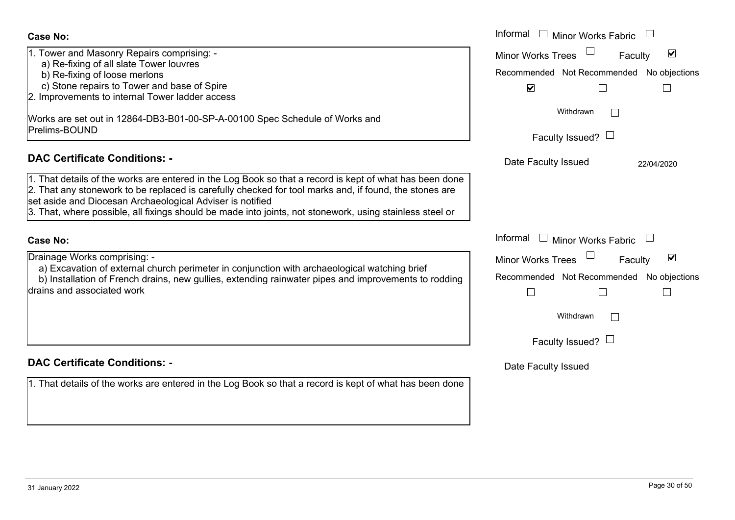| <b>Case No:</b>                                                                                                                                                                                                                                                                                                                                                                            | Informal $\square$<br>Minor Works Fabric                                                                 |
|--------------------------------------------------------------------------------------------------------------------------------------------------------------------------------------------------------------------------------------------------------------------------------------------------------------------------------------------------------------------------------------------|----------------------------------------------------------------------------------------------------------|
| 1. Tower and Masonry Repairs comprising: -<br>a) Re-fixing of all slate Tower louvres<br>b) Re-fixing of loose merlons                                                                                                                                                                                                                                                                     | $\blacktriangledown$<br><b>Minor Works Trees</b><br>Faculty<br>Recommended Not Recommended No objections |
| c) Stone repairs to Tower and base of Spire<br>2. Improvements to internal Tower ladder access                                                                                                                                                                                                                                                                                             | $\blacktriangledown$<br>Withdrawn                                                                        |
| Works are set out in 12864-DB3-B01-00-SP-A-00100 Spec Schedule of Works and<br>Prelims-BOUND                                                                                                                                                                                                                                                                                               | Faculty Issued? $\Box$                                                                                   |
| <b>DAC Certificate Conditions: -</b>                                                                                                                                                                                                                                                                                                                                                       | Date Faculty Issued<br>22/04/2020                                                                        |
| 1. That details of the works are entered in the Log Book so that a record is kept of what has been done<br>2. That any stonework to be replaced is carefully checked for tool marks and, if found, the stones are<br>set aside and Diocesan Archaeological Adviser is notified<br>3. That, where possible, all fixings should be made into joints, not stonework, using stainless steel or |                                                                                                          |
| <b>Case No:</b>                                                                                                                                                                                                                                                                                                                                                                            | Informal $\square$<br>Minor Works Fabric                                                                 |
| Drainage Works comprising: -<br>a) Excavation of external church perimeter in conjunction with archaeological watching brief<br>b) Installation of French drains, new gullies, extending rainwater pipes and improvements to rodding<br>drains and associated work                                                                                                                         | $\blacktriangledown$<br>Minor Works Trees<br>Faculty<br>Recommended Not Recommended No objections        |
|                                                                                                                                                                                                                                                                                                                                                                                            | Withdrawn<br>$\Box$<br>Faculty Issued? $\Box$                                                            |
| <b>DAC Certificate Conditions: -</b>                                                                                                                                                                                                                                                                                                                                                       | Date Faculty Issued                                                                                      |
| 1. That details of the works are entered in the Log Book so that a record is kept of what has been done                                                                                                                                                                                                                                                                                    |                                                                                                          |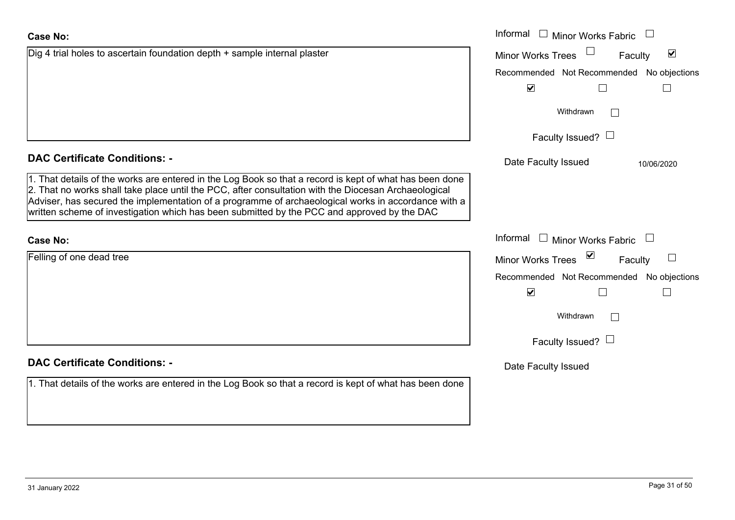# **DAC Certificate Conditions: -**

Dig 4 trial holes to ascertain foundation depth + sample internal plaster

1. That details of the works are entered in the Log Book so that a record is kept of what has been done 2. That no works shall take place until the PCC, after consultation with the Diocesan Archaeological Adviser, has secured the implementation of a programme of archaeological works in accordance with written scheme of investigation which has been submitted by the PCC and approved by the DAC

## **Case No:**

Felling of one dead tree

|  | <b>DAC Certificate Conditions: -</b> |  |
|--|--------------------------------------|--|

1. That details of the works are entered in the Log Book so that a record is kept of what has been done

# **Case No:**

|                                                                                                                                                                                                                                                                                                                                                                                   | Informal $\square$<br><b>Minor Works Fabric</b>             |
|-----------------------------------------------------------------------------------------------------------------------------------------------------------------------------------------------------------------------------------------------------------------------------------------------------------------------------------------------------------------------------------|-------------------------------------------------------------|
| I holes to ascertain foundation depth + sample internal plaster                                                                                                                                                                                                                                                                                                                   | $\blacktriangledown$<br><b>Minor Works Trees</b><br>Faculty |
|                                                                                                                                                                                                                                                                                                                                                                                   | Recommended Not Recommended<br>No objections                |
|                                                                                                                                                                                                                                                                                                                                                                                   | $\blacktriangledown$                                        |
|                                                                                                                                                                                                                                                                                                                                                                                   | Withdrawn                                                   |
|                                                                                                                                                                                                                                                                                                                                                                                   | Faculty Issued? $\Box$                                      |
| rtificate Conditions: -                                                                                                                                                                                                                                                                                                                                                           | Date Faculty Issued<br>10/06/2020                           |
| etails of the works are entered in the Log Book so that a record is kept of what has been done<br>o works shall take place until the PCC, after consultation with the Diocesan Archaeological<br>has secured the implementation of a programme of archaeological works in accordance with a<br>cheme of investigation which has been submitted by the PCC and approved by the DAC |                                                             |
|                                                                                                                                                                                                                                                                                                                                                                                   | Informal<br>Minor Works Fabric<br>$\Box$                    |
| one dead tree                                                                                                                                                                                                                                                                                                                                                                     | $\triangledown$<br>Minor Works Trees<br>Faculty             |
|                                                                                                                                                                                                                                                                                                                                                                                   | Recommended Not Recommended<br>No objections                |
|                                                                                                                                                                                                                                                                                                                                                                                   | $\overline{\mathbf{v}}$                                     |
|                                                                                                                                                                                                                                                                                                                                                                                   | Withdrawn                                                   |
|                                                                                                                                                                                                                                                                                                                                                                                   | Faculty Issued? $\Box$                                      |
| rtificate Conditions: -                                                                                                                                                                                                                                                                                                                                                           | Date Faculty Issued                                         |
| etails of the works are entered in the Log Book so that a record is kent of what has been done.                                                                                                                                                                                                                                                                                   |                                                             |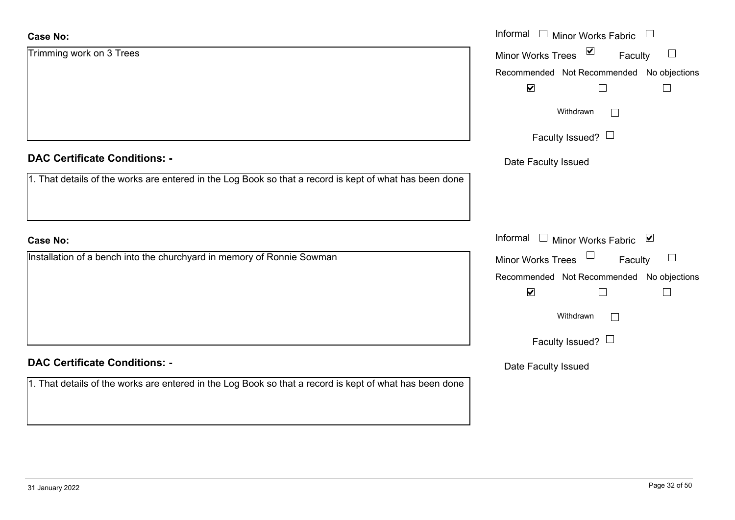| Case No:                                                                                                | Informal $\Box$ Minor Works Fabric $\Box$                |
|---------------------------------------------------------------------------------------------------------|----------------------------------------------------------|
| Trimming work on 3 Trees                                                                                | $\sum$<br>Minor Works Trees<br>$\mathbb{R}^n$<br>Faculty |
|                                                                                                         | Recommended Not Recommended No objections                |
|                                                                                                         | $\blacktriangledown$                                     |
|                                                                                                         | Withdrawn<br>$\vert \ \ \vert$                           |
|                                                                                                         | Faculty Issued? $\Box$                                   |
| <b>DAC Certificate Conditions: -</b>                                                                    | Date Faculty Issued                                      |
| 1. That details of the works are entered in the Log Book so that a record is kept of what has been done |                                                          |
|                                                                                                         |                                                          |
| <b>Case No:</b>                                                                                         | Informal □ Minor Works Fabric ⊠                          |
| Installation of a bench into the churchyard in memory of Ronnie Sowman                                  | $\Box$<br>Minor Works Trees<br>$\sqcup$<br>Faculty       |
|                                                                                                         | Recommended Not Recommended No objections                |
|                                                                                                         | $\blacktriangledown$                                     |
|                                                                                                         | Withdrawn<br>$\vert \ \ \vert$                           |
|                                                                                                         | Faculty Issued? $\Box$                                   |
| <b>DAC Certificate Conditions: -</b>                                                                    | Date Faculty Issued                                      |
| 1. That details of the works are entered in the Log Book so that a record is kept of what has been done |                                                          |
|                                                                                                         |                                                          |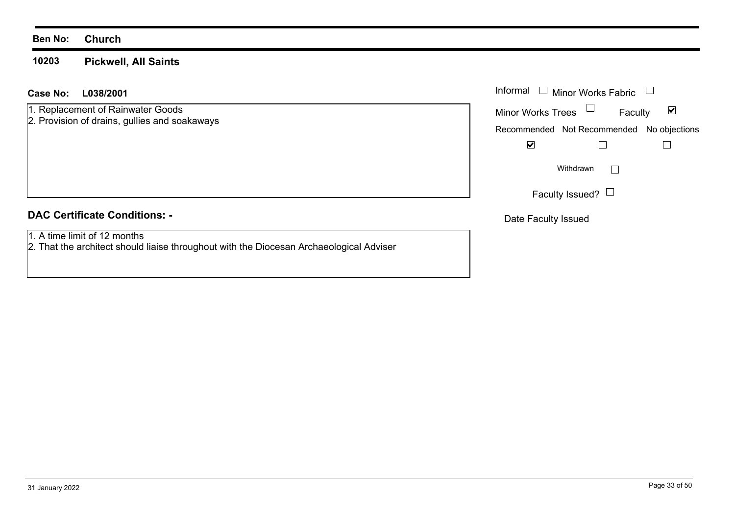#### **10203Pickwell, All Saints**

#### **L038/2001Case No:** Informal

- 1. Replacement of Rainwater Goods
- 2. Provision of drains, gullies and soakaways

#### **DAC Certificate Conditions: -**

- 1. A time limit of 12 months
- 2. That the architect should liaise throughout with the Diocesan Archaeological Adviser

| Informal $\;\;\Box\;$ Minor Works Fabric |                                           |   |
|------------------------------------------|-------------------------------------------|---|
| <b>Minor Works Trees</b>                 | Faculty                                   | M |
|                                          | Recommended Not Recommended No objections |   |
|                                          |                                           |   |
|                                          | Withdrawn                                 |   |
|                                          | Faculty Issued? $\Box$                    |   |

Date Faculty Issued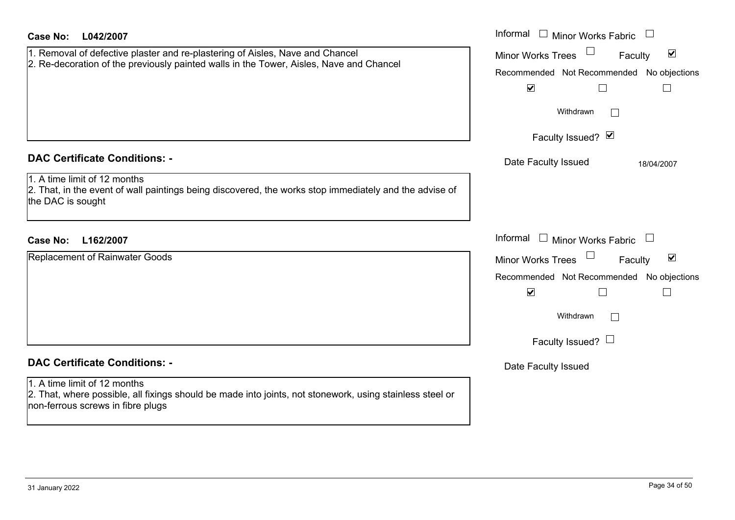| <b>Case No:</b><br>L042/2007                                                                                                                                                  | Informal □ Minor Works Fabric                                  |
|-------------------------------------------------------------------------------------------------------------------------------------------------------------------------------|----------------------------------------------------------------|
| 1. Removal of defective plaster and re-plastering of Aisles, Nave and Chancel<br>2. Re-decoration of the previously painted walls in the Tower, Aisles, Nave and Chancel      | $\blacktriangledown$<br><b>Minor Works Trees</b><br>Faculty    |
|                                                                                                                                                                               | Recommended Not Recommended No objections                      |
|                                                                                                                                                                               | $\blacktriangledown$<br>$\Box$                                 |
|                                                                                                                                                                               | Withdrawn                                                      |
|                                                                                                                                                                               | Faculty Issued? Ø                                              |
| <b>DAC Certificate Conditions: -</b>                                                                                                                                          | Date Faculty Issued<br>18/04/2007                              |
| 1. A time limit of 12 months<br>2. That, in the event of wall paintings being discovered, the works stop immediately and the advise of<br>the DAC is sought                   |                                                                |
| <b>Case No:</b><br>L162/2007                                                                                                                                                  | Informal □ Minor Works Fabric                                  |
| Replacement of Rainwater Goods                                                                                                                                                | $\Box$<br>$\blacktriangledown$<br>Minor Works Trees<br>Faculty |
|                                                                                                                                                                               | Recommended Not Recommended No objections                      |
|                                                                                                                                                                               | $\blacktriangledown$<br>$\mathsf{L}$                           |
|                                                                                                                                                                               | Withdrawn<br>$\vert \ \ \vert$                                 |
|                                                                                                                                                                               | Faculty Issued? $\Box$                                         |
| <b>DAC Certificate Conditions: -</b>                                                                                                                                          | Date Faculty Issued                                            |
| 1. A time limit of 12 months<br>2. That, where possible, all fixings should be made into joints, not stonework, using stainless steel or<br>non-ferrous screws in fibre plugs |                                                                |
|                                                                                                                                                                               |                                                                |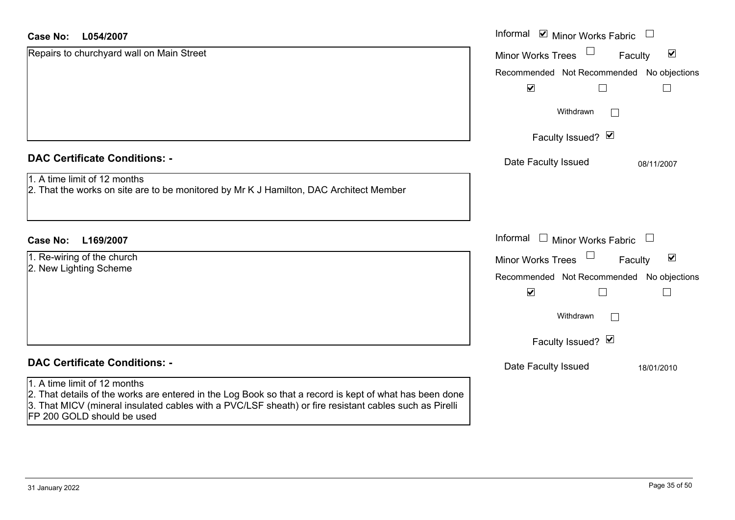| <b>Case No:</b><br>L054/2007                                                                                                                                                                                                                                                    | Informal ⊠ Minor Works Fabric             | $\Box$                          |
|---------------------------------------------------------------------------------------------------------------------------------------------------------------------------------------------------------------------------------------------------------------------------------|-------------------------------------------|---------------------------------|
| Repairs to churchyard wall on Main Street                                                                                                                                                                                                                                       | <b>Minor Works Trees</b>                  | $\blacktriangledown$<br>Faculty |
|                                                                                                                                                                                                                                                                                 | Recommended Not Recommended No objections |                                 |
|                                                                                                                                                                                                                                                                                 | $\blacktriangledown$                      |                                 |
|                                                                                                                                                                                                                                                                                 | Withdrawn                                 | $\mathbf{L}$                    |
|                                                                                                                                                                                                                                                                                 | Faculty Issued? Ø                         |                                 |
| <b>DAC Certificate Conditions: -</b>                                                                                                                                                                                                                                            | Date Faculty Issued                       | 08/11/2007                      |
| 1. A time limit of 12 months<br>2. That the works on site are to be monitored by Mr K J Hamilton, DAC Architect Member                                                                                                                                                          |                                           |                                 |
| <b>Case No:</b><br>L169/2007                                                                                                                                                                                                                                                    | Informal<br>$\Box$ Minor Works Fabric     | $\Box$                          |
| 1. Re-wiring of the church                                                                                                                                                                                                                                                      | <b>Minor Works Trees</b>                  | $\blacktriangledown$<br>Faculty |
| 2. New Lighting Scheme                                                                                                                                                                                                                                                          | Recommended Not Recommended No objections |                                 |
|                                                                                                                                                                                                                                                                                 | $\blacktriangledown$                      |                                 |
|                                                                                                                                                                                                                                                                                 | Withdrawn                                 |                                 |
|                                                                                                                                                                                                                                                                                 | Faculty Issued? Ø                         |                                 |
| <b>DAC Certificate Conditions: -</b>                                                                                                                                                                                                                                            | Date Faculty Issued                       | 18/01/2010                      |
| 1. A time limit of 12 months<br>2. That details of the works are entered in the Log Book so that a record is kept of what has been done<br>3. That MICV (mineral insulated cables with a PVC/LSF sheath) or fire resistant cables such as Pirelli<br>FP 200 GOLD should be used |                                           |                                 |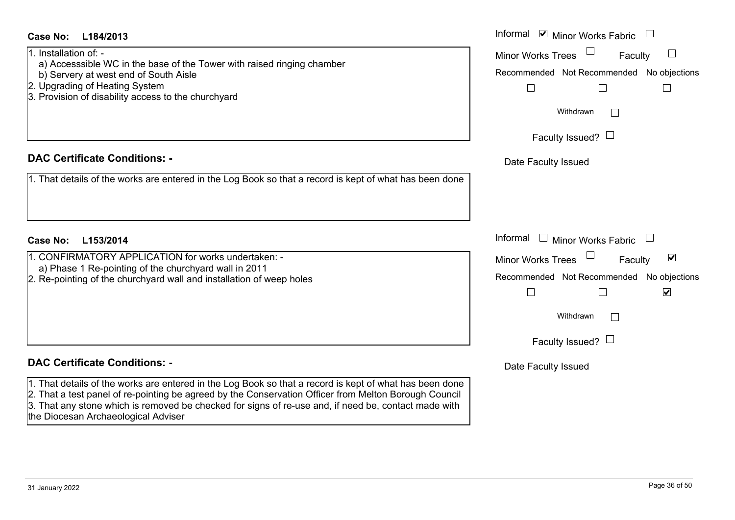| Case No:<br>L184/2013                                                                                                                                                                                                                                                                                                                                           | Informal ⊠ Minor Works Fabric                                                                                                                                                     |
|-----------------------------------------------------------------------------------------------------------------------------------------------------------------------------------------------------------------------------------------------------------------------------------------------------------------------------------------------------------------|-----------------------------------------------------------------------------------------------------------------------------------------------------------------------------------|
| 1. Installation of: -<br>a) Accesssible WC in the base of the Tower with raised ringing chamber<br>b) Servery at west end of South Aisle<br>2. Upgrading of Heating System<br>3. Provision of disability access to the churchyard                                                                                                                               | <b>Minor Works Trees</b><br>Faculty<br>Recommended Not Recommended No objections<br>$\Box$<br>Withdrawn                                                                           |
|                                                                                                                                                                                                                                                                                                                                                                 | Faculty Issued? $\Box$                                                                                                                                                            |
| <b>DAC Certificate Conditions: -</b><br>1. That details of the works are entered in the Log Book so that a record is kept of what has been done                                                                                                                                                                                                                 | Date Faculty Issued                                                                                                                                                               |
| L153/2014<br><b>Case No:</b>                                                                                                                                                                                                                                                                                                                                    | Informal<br>$\Box$ Minor Works Fabric                                                                                                                                             |
| 1. CONFIRMATORY APPLICATION for works undertaken: -<br>a) Phase 1 Re-pointing of the churchyard wall in 2011<br>2. Re-pointing of the churchyard wall and installation of weep holes                                                                                                                                                                            | $\blacktriangledown$<br><b>Minor Works Trees</b><br>Faculty<br>Recommended Not Recommended No objections<br>$\blacktriangledown$<br>$\Box$<br>Withdrawn<br>Faculty Issued? $\Box$ |
| <b>DAC Certificate Conditions: -</b>                                                                                                                                                                                                                                                                                                                            | Date Faculty Issued                                                                                                                                                               |
| 1. That details of the works are entered in the Log Book so that a record is kept of what has been done<br>2. That a test panel of re-pointing be agreed by the Conservation Officer from Melton Borough Council<br>3. That any stone which is removed be checked for signs of re-use and, if need be, contact made with<br>the Diocesan Archaeological Adviser |                                                                                                                                                                                   |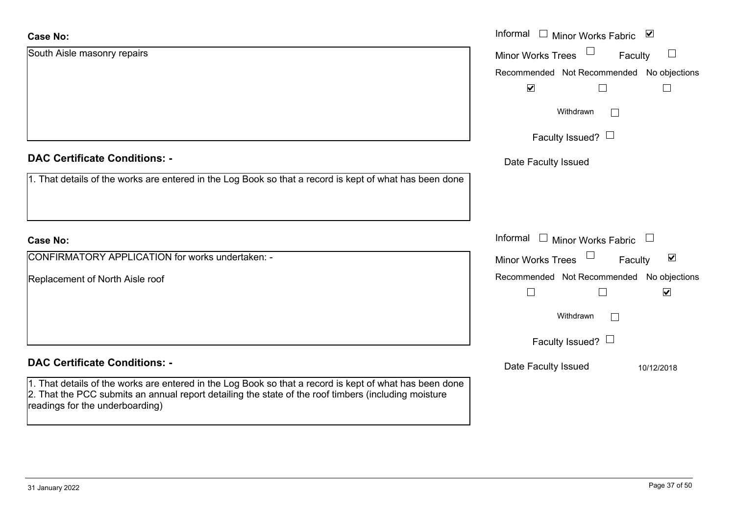| <b>Case No:</b>                                                                                                                                                                                                                                    | Informal □ Minor Works Fabric ☑                                       |
|----------------------------------------------------------------------------------------------------------------------------------------------------------------------------------------------------------------------------------------------------|-----------------------------------------------------------------------|
| South Aisle masonry repairs                                                                                                                                                                                                                        | <b>Minor Works Trees</b><br>Faculty                                   |
|                                                                                                                                                                                                                                                    | Recommended Not Recommended No objections                             |
|                                                                                                                                                                                                                                                    | $\blacktriangleright$<br>$\Box$<br>$\vert \ \ \vert$                  |
|                                                                                                                                                                                                                                                    | Withdrawn<br>$\perp$                                                  |
|                                                                                                                                                                                                                                                    | Faculty Issued? $\Box$                                                |
| <b>DAC Certificate Conditions: -</b>                                                                                                                                                                                                               | Date Faculty Issued                                                   |
| 1. That details of the works are entered in the Log Book so that a record is kept of what has been done                                                                                                                                            |                                                                       |
|                                                                                                                                                                                                                                                    |                                                                       |
| <b>Case No:</b>                                                                                                                                                                                                                                    | Informal<br>$\Box$ Minor Works Fabric<br>$\Box$                       |
| CONFIRMATORY APPLICATION for works undertaken: -                                                                                                                                                                                                   | $\Box$<br>$\blacktriangledown$<br><b>Minor Works Trees</b><br>Faculty |
| Replacement of North Aisle roof                                                                                                                                                                                                                    | Recommended Not Recommended No objections                             |
|                                                                                                                                                                                                                                                    | $\blacktriangledown$<br>$\Box$<br>$\Box$                              |
|                                                                                                                                                                                                                                                    | Withdrawn                                                             |
|                                                                                                                                                                                                                                                    | Faculty Issued? $\Box$                                                |
| <b>DAC Certificate Conditions: -</b>                                                                                                                                                                                                               | Date Faculty Issued<br>10/12/2018                                     |
| 1. That details of the works are entered in the Log Book so that a record is kept of what has been done<br>2. That the PCC submits an annual report detailing the state of the roof timbers (including moisture<br>readings for the underboarding) |                                                                       |
|                                                                                                                                                                                                                                                    |                                                                       |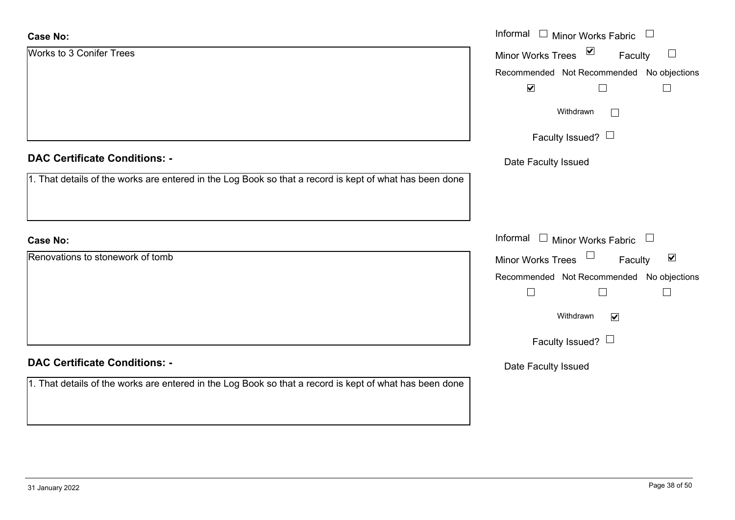| <b>Case No:</b>                                                                                         | Informal $\Box$ Minor Works Fabric $\Box$            |
|---------------------------------------------------------------------------------------------------------|------------------------------------------------------|
| Works to 3 Conifer Trees                                                                                | Minor Works Trees ⊠<br>Faculty                       |
|                                                                                                         | Recommended Not Recommended No objections            |
|                                                                                                         | $\blacktriangledown$<br>$\Box$                       |
|                                                                                                         | Withdrawn<br>$\Box$                                  |
|                                                                                                         | Faculty Issued?                                      |
| <b>DAC Certificate Conditions: -</b>                                                                    | Date Faculty Issued                                  |
| 1. That details of the works are entered in the Log Book so that a record is kept of what has been done |                                                      |
|                                                                                                         |                                                      |
| <b>Case No:</b>                                                                                         | Informal $\Box$ Minor Works Fabric $\Box$            |
| Renovations to stonework of tomb                                                                        | Minor Works Trees<br>$\blacktriangledown$<br>Faculty |
|                                                                                                         | Recommended Not Recommended No objections            |
|                                                                                                         | $\Box$<br>$\Box$<br>$\Box$                           |
|                                                                                                         | Withdrawn<br>$\blacktriangledown$                    |
|                                                                                                         | Faculty Issued? $\Box$                               |
| <b>DAC Certificate Conditions: -</b>                                                                    | Date Faculty Issued                                  |
| 1. That details of the works are entered in the Log Book so that a record is kept of what has been done |                                                      |
|                                                                                                         |                                                      |
|                                                                                                         |                                                      |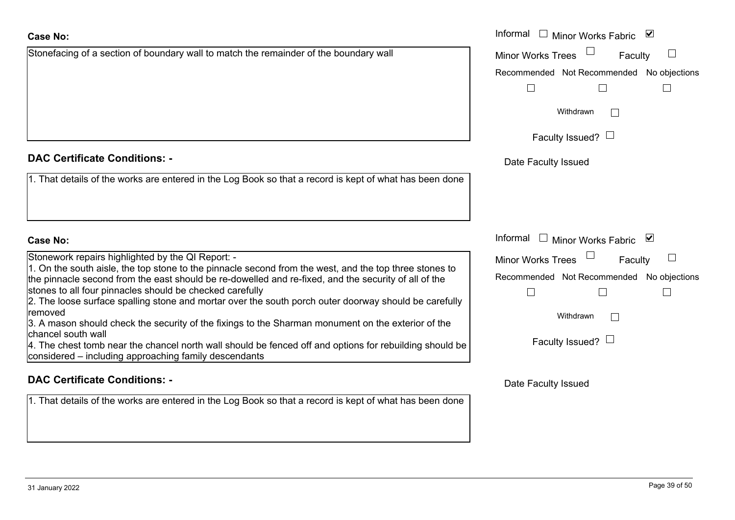Stonefacing of a section of boundary wall to match the remainder of the boundary wall

# **DAC Certificate Conditions: -**

1. That details of the works are entered in the Log Book so that a record is kept of what has been done

# **Case No:**

Stonework repairs highlighted by the QI Report: -

1. On the south aisle, the top stone to the pinnacle second from the west, and the top three stones to the pinnacle second from the east should be re-dowelled and re-fixed, and the security of all of the stones to all four pinnacles should be checked carefully

2. The loose surface spalling stone and mortar over the south porch outer doorway should be carefully removed

3. A mason should check the security of the fixings to the Sharman monument on the exterior of the chancel south wall

4. The chest tomb near the chancel north wall should be fenced off and options for rebuilding should be considered – including approaching family descendants

# **DAC Certificate Conditions: -**

1. That details of the works are entered in the Log Book so that a record is kept of what has been done

|                                                                                                                                                                                              | Informal □ Minor Works Fabric ⊠                     |
|----------------------------------------------------------------------------------------------------------------------------------------------------------------------------------------------|-----------------------------------------------------|
| ing of a section of boundary wall to match the remainder of the boundary wall                                                                                                                | <b>Minor Works Trees</b><br>Faculty                 |
|                                                                                                                                                                                              | Recommended Not Recommended No objections           |
|                                                                                                                                                                                              |                                                     |
|                                                                                                                                                                                              | Withdrawn                                           |
|                                                                                                                                                                                              | Faculty Issued? $\Box$                              |
| rtificate Conditions: -                                                                                                                                                                      | Date Faculty Issued                                 |
| etails of the works are entered in the Log Book so that a record is kept of what has been done                                                                                               |                                                     |
|                                                                                                                                                                                              | Informal<br>Minor Works Fabric<br>$\mathbf{1}$<br>⊻ |
| rk repairs highlighted by the QI Report: -                                                                                                                                                   | <b>Minor Works Trees</b><br>Faculty                 |
| south aisle, the top stone to the pinnacle second from the west, and the top three stones to<br>icle second from the east should be re-dowelled and re-fixed, and the security of all of the | Recommended Not Recommended No objections           |
| all four pinnacles should be checked carefully<br>ose surface spalling stone and mortar over the south porch outer doorway should be carefully                                               |                                                     |
| on should check the security of the fixings to the Sharman monument on the exterior of the                                                                                                   | Withdrawn<br>$\mathbb{R}^n$                         |
| south wall<br>est tomb near the chancel north wall should be fenced off and options for rebuilding should be                                                                                 | Faculty Issued? $\Box$                              |
| ed – including approaching family descendants                                                                                                                                                |                                                     |
| rtificate Conditions: -                                                                                                                                                                      | Date Faculty Issued                                 |
| etails of the works are entered in the Log Book so that a record is kept of what has been done                                                                                               |                                                     |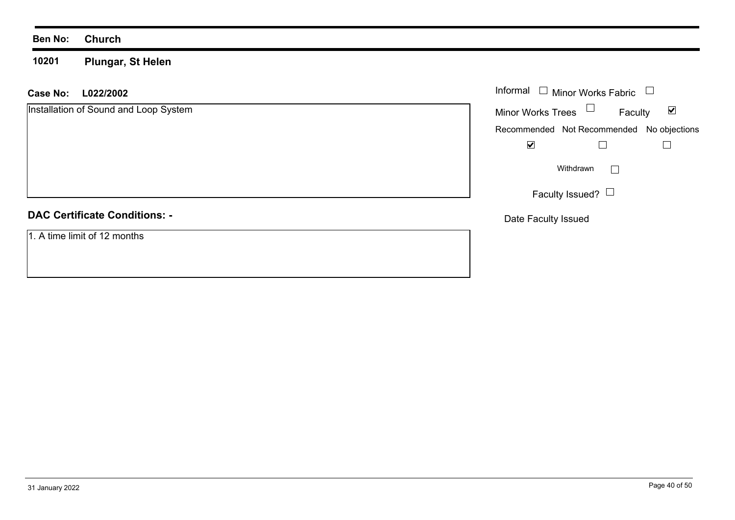**10201Plungar, St Helen**

**L022/2002Case No:** Informal

Installation of Sound and Loop System  $\blacktriangledown$ Faculty Minor Works Trees Recommended Not Recommended No objections  $\overline{\mathbf{v}}$  $\Box$  $\Box$  $\Box$ Withdrawn Faculty Issued?  $\Box$ **DAC Certificate Conditions: -**Date Faculty Issued 1. A time limit of 12 months

Informal  $\Box$  Minor Works Fabric  $\Box$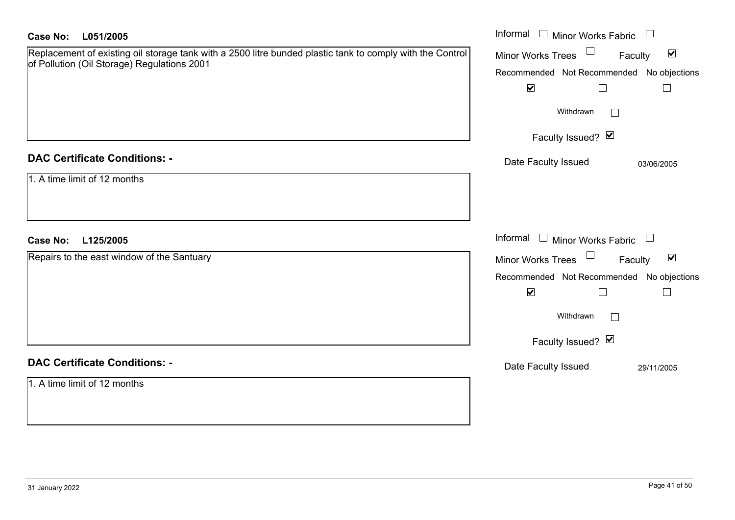| <b>Case No:</b><br>L051/2005                                                                                                                             | Informal □ Minor Works Fabric                                  |
|----------------------------------------------------------------------------------------------------------------------------------------------------------|----------------------------------------------------------------|
| Replacement of existing oil storage tank with a 2500 litre bunded plastic tank to comply with the Control<br>of Pollution (Oil Storage) Regulations 2001 | $\blacktriangledown$<br>$\Box$<br>Minor Works Trees<br>Faculty |
|                                                                                                                                                          | Recommended Not Recommended No objections                      |
|                                                                                                                                                          | $\blacktriangledown$<br>$\Box$                                 |
|                                                                                                                                                          | Withdrawn<br>$\Box$                                            |
|                                                                                                                                                          | Faculty Issued? Ø                                              |
| <b>DAC Certificate Conditions: -</b>                                                                                                                     | Date Faculty Issued<br>03/06/2005                              |
| 1. A time limit of 12 months                                                                                                                             |                                                                |
|                                                                                                                                                          |                                                                |
|                                                                                                                                                          |                                                                |
| <b>Case No:</b><br>L125/2005                                                                                                                             | Informal $\Box$ Minor Works Fabric $\Box$                      |
| Repairs to the east window of the Santuary                                                                                                               | Minor Works Trees<br>$\blacktriangledown$<br>Faculty           |
|                                                                                                                                                          | Recommended Not Recommended No objections                      |
|                                                                                                                                                          | $\blacktriangledown$<br>$\Box$<br>$\Box$                       |
|                                                                                                                                                          | Withdrawn<br>$\Box$                                            |
|                                                                                                                                                          | Faculty Issued? Ø                                              |
| <b>DAC Certificate Conditions: -</b>                                                                                                                     | Date Faculty Issued<br>29/11/2005                              |
| 1. A time limit of 12 months                                                                                                                             |                                                                |
|                                                                                                                                                          |                                                                |
|                                                                                                                                                          |                                                                |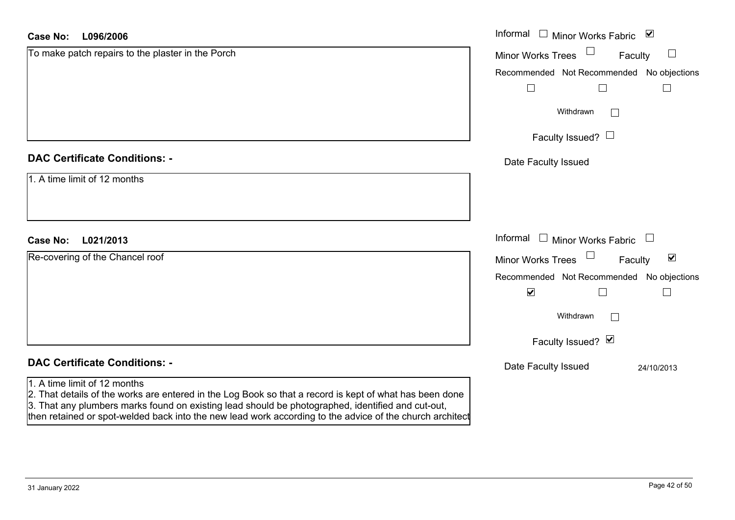| <b>Case No:</b><br>L096/2006                                                                                                                                                                                                                 | Informal □ Minor Works Fabric ☑                      |
|----------------------------------------------------------------------------------------------------------------------------------------------------------------------------------------------------------------------------------------------|------------------------------------------------------|
| To make patch repairs to the plaster in the Porch                                                                                                                                                                                            | Minor Works Trees<br>Faculty<br>$\Box$               |
|                                                                                                                                                                                                                                              | Recommended Not Recommended No objections            |
|                                                                                                                                                                                                                                              | $\Box$<br>$\Box$                                     |
|                                                                                                                                                                                                                                              | Withdrawn<br>$\vert \ \ \vert$                       |
|                                                                                                                                                                                                                                              | Faculty Issued? $\Box$                               |
| <b>DAC Certificate Conditions: -</b>                                                                                                                                                                                                         | Date Faculty Issued                                  |
| 1. A time limit of 12 months                                                                                                                                                                                                                 |                                                      |
|                                                                                                                                                                                                                                              |                                                      |
| L021/2013<br><b>Case No:</b>                                                                                                                                                                                                                 | Informal $\Box$ Minor Works Fabric $\Box$            |
| Re-covering of the Chancel roof                                                                                                                                                                                                              | Minor Works Trees<br>$\blacktriangledown$<br>Faculty |
|                                                                                                                                                                                                                                              | Recommended Not Recommended No objections            |
|                                                                                                                                                                                                                                              | $\blacktriangledown$<br>$\Box$<br>$\Box$             |
|                                                                                                                                                                                                                                              | Withdrawn<br>$\mathbf{I}$                            |
|                                                                                                                                                                                                                                              | Faculty Issued? $\blacksquare$                       |
| <b>DAC Certificate Conditions: -</b>                                                                                                                                                                                                         | Date Faculty Issued<br>24/10/2013                    |
| 1. A time limit of 12 months<br>2. That details of the works are entered in the Log Book so that a record is kept of what has been done<br>3. That any plumbers marks found on existing lead should be photographed, identified and cut-out, |                                                      |

then retained or spot-welded back into the new lead work according to the advice of the church architect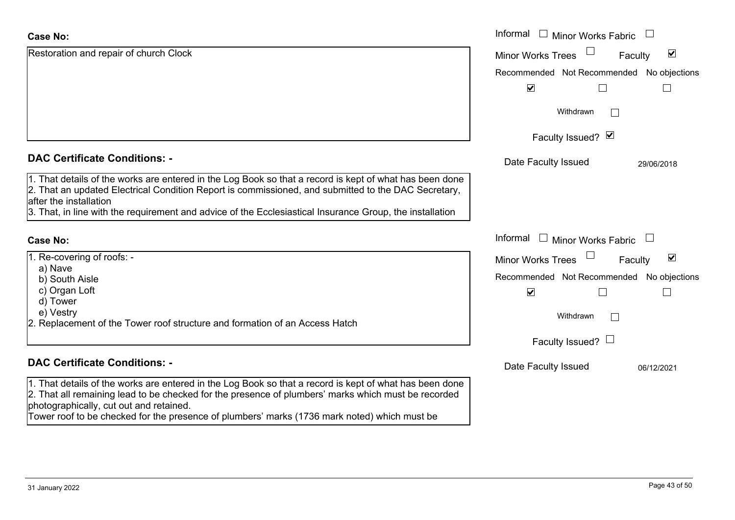| <b>Case No:</b>                                                                                                                                                                                                                                                                                                                                           | Informal □ Minor Works Fabric             |                                 |
|-----------------------------------------------------------------------------------------------------------------------------------------------------------------------------------------------------------------------------------------------------------------------------------------------------------------------------------------------------------|-------------------------------------------|---------------------------------|
| Restoration and repair of church Clock                                                                                                                                                                                                                                                                                                                    | <b>Minor Works Trees</b>                  | $\blacktriangledown$<br>Faculty |
|                                                                                                                                                                                                                                                                                                                                                           | Recommended Not Recommended No objections |                                 |
|                                                                                                                                                                                                                                                                                                                                                           | $\blacktriangledown$                      |                                 |
|                                                                                                                                                                                                                                                                                                                                                           | Withdrawn                                 |                                 |
|                                                                                                                                                                                                                                                                                                                                                           | Faculty Issued? Ø                         |                                 |
| <b>DAC Certificate Conditions: -</b>                                                                                                                                                                                                                                                                                                                      | Date Faculty Issued                       | 29/06/2018                      |
| 1. That details of the works are entered in the Log Book so that a record is kept of what has been done<br>2. That an updated Electrical Condition Report is commissioned, and submitted to the DAC Secretary,<br>after the installation                                                                                                                  |                                           |                                 |
| 3. That, in line with the requirement and advice of the Ecclesiastical Insurance Group, the installation                                                                                                                                                                                                                                                  |                                           |                                 |
| <b>Case No:</b>                                                                                                                                                                                                                                                                                                                                           | Informal □ Minor Works Fabric             |                                 |
| 1. Re-covering of roofs: -                                                                                                                                                                                                                                                                                                                                | Minor Works Trees                         | $\blacktriangledown$<br>Faculty |
| a) Nave<br>b) South Aisle                                                                                                                                                                                                                                                                                                                                 | Recommended Not Recommended No objections |                                 |
| c) Organ Loft                                                                                                                                                                                                                                                                                                                                             | $\blacktriangledown$                      |                                 |
| d) Tower<br>e) Vestry                                                                                                                                                                                                                                                                                                                                     |                                           |                                 |
| 2. Replacement of the Tower roof structure and formation of an Access Hatch                                                                                                                                                                                                                                                                               | Withdrawn                                 | $\mathbb{R}^n$                  |
|                                                                                                                                                                                                                                                                                                                                                           | Faculty Issued? $\Box$                    |                                 |
| <b>DAC Certificate Conditions: -</b>                                                                                                                                                                                                                                                                                                                      | Date Faculty Issued                       | 06/12/2021                      |
| 1. That details of the works are entered in the Log Book so that a record is kept of what has been done<br>2. That all remaining lead to be checked for the presence of plumbers' marks which must be recorded<br>photographically, cut out and retained.<br>Tower roof to be checked for the presence of plumbers' marks (1736 mark noted) which must be |                                           |                                 |
|                                                                                                                                                                                                                                                                                                                                                           |                                           |                                 |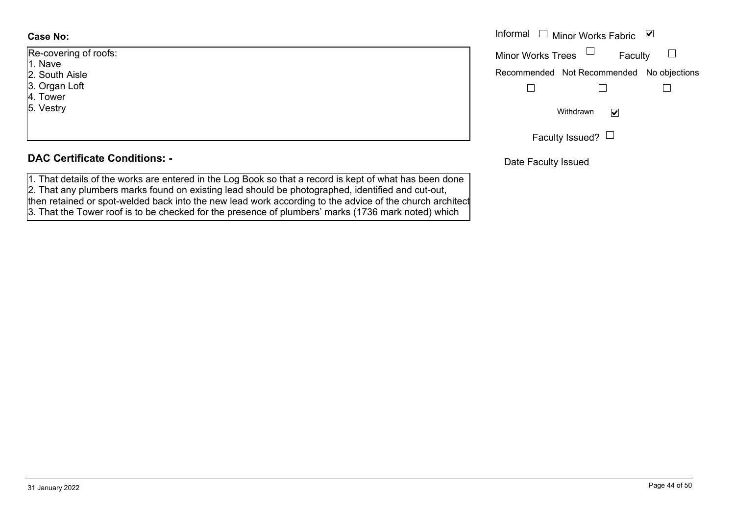| Re-covering of roofs: |  |  |  |
|-----------------------|--|--|--|
| 1. Nave               |  |  |  |
| 2. South Aisle        |  |  |  |
| 3. Organ Loft         |  |  |  |
| 4. Tower              |  |  |  |
| 5. Vestry             |  |  |  |
|                       |  |  |  |
|                       |  |  |  |

#### **DAC Certificate Conditions: -**

1. That details of the works are entered in the Log Book so that a record is kept of what has been done 2. That any plumbers marks found on existing lead should be photographed, identified and cut-out, then retained or spot-welded back into the new lead work according to the advice of the church architect 3. That the Tower roof is to be checked for the presence of plumbers' marks (1736 mark noted) which

|               | Informal $\Box$ Minor Works Fabric $\Box$ |
|---------------|-------------------------------------------|
| ing of roofs: | Minor Works Trees $\Box$<br>Faculty       |
| Aisle         | Recommended Not Recommended No objections |
| Loft          |                                           |
|               | Withdrawn<br>$\blacktriangledown$         |
|               | Faculty Issued? $\Box$                    |

Date Faculty Issued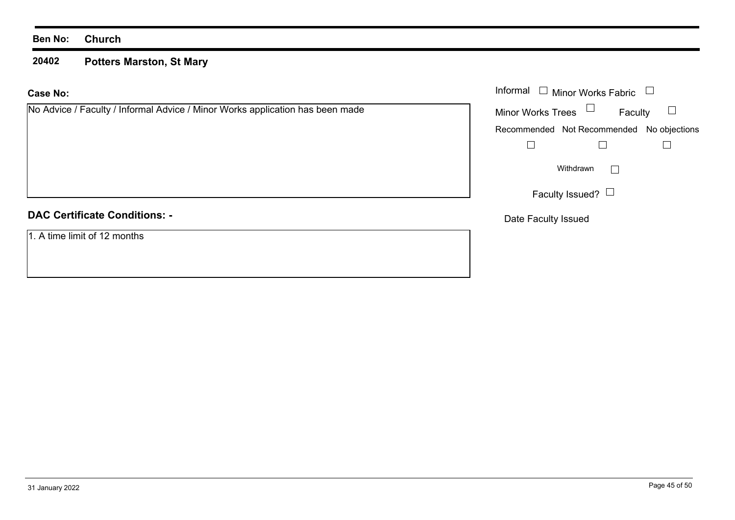#### **20402 Potters Marston, St Mary**

| <b>Case No:</b>                                                               | Informal $\Box$ Minor Works Fabric        |  |  |
|-------------------------------------------------------------------------------|-------------------------------------------|--|--|
| No Advice / Faculty / Informal Advice / Minor Works application has been made | Minor Works Trees $\Box$<br>Faculty       |  |  |
|                                                                               | Recommended Not Recommended No objections |  |  |
|                                                                               |                                           |  |  |
|                                                                               | Withdrawn<br>$\mathbf{1}$                 |  |  |
|                                                                               | Faculty Issued? $\Box$                    |  |  |
| <b>DAC Certificate Conditions: -</b>                                          | Date Faculty Issued                       |  |  |
| 1. A time limit of 12 months                                                  |                                           |  |  |
|                                                                               |                                           |  |  |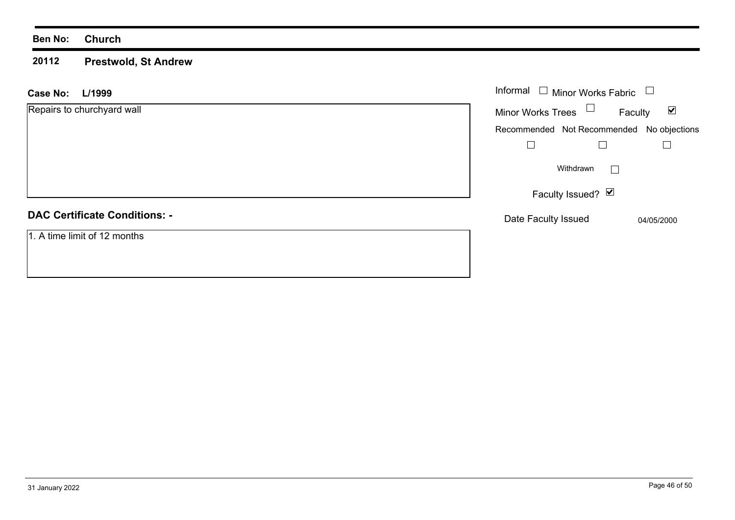#### **20112 Prestwold, St Andrew**

| L/1999<br><b>Case No:</b>            | Informal $\Box$ Minor Works Fabric        |                      |
|--------------------------------------|-------------------------------------------|----------------------|
| Repairs to churchyard wall           | Minor Works Trees $\Box$<br>Faculty       | $\blacktriangledown$ |
|                                      | Recommended Not Recommended No objections |                      |
|                                      |                                           |                      |
|                                      | Withdrawn<br>$\mathbf{I}$                 |                      |
|                                      | Faculty Issued? $\boxed{\triangleright}$  |                      |
| <b>DAC Certificate Conditions: -</b> | Date Faculty Issued                       | 04/05/2000           |
| 1. A time limit of 12 months         |                                           |                      |
|                                      |                                           |                      |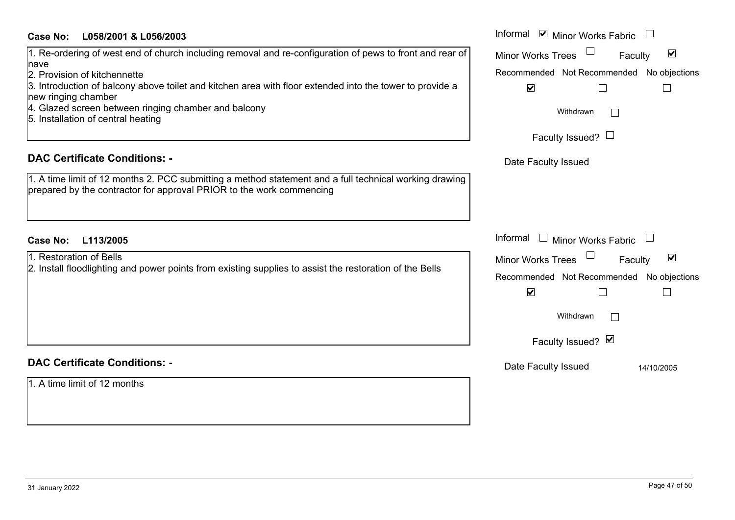| <b>Case No:</b><br>L058/2001 & L056/2003 | Informal |
|------------------------------------------|----------|
|------------------------------------------|----------|

## 1. Re-ordering of west end of church including removal and re-configuration of pews to front and rear of nave

2. Provision of kitchennette

3. Introduction of balcony above toilet and kitchen area with floor extended into the tower to provide a new ringing chamber

- 4. Glazed screen between ringing chamber and balcony
- 5. Installation of central heating

#### **DAC Certificate Conditions: -**

1. A time limit of 12 months 2. PCC submitting a method statement and a full technical working drawing prepared by the contractor for approval PRIOR to the work commencing

## **L113/2005Case No:** Informal

| 1. Restoration of Bells                                                                                 |
|---------------------------------------------------------------------------------------------------------|
| 2. Install floodlighting and power points from existing supplies to assist the restoration of the Bells |
|                                                                                                         |
|                                                                                                         |
|                                                                                                         |
|                                                                                                         |

## **DAC Certificate Conditions: -**

1. A time limit of 12 months

| Informal ☑ Minor Works Fabric             |
|-------------------------------------------|
| ☑<br><b>Minor Works Trees</b><br>Faculty  |
| Recommended Not Recommended No objections |
| V                                         |
| Withdrawn                                 |
| Faculty Issued? $\Box$                    |
| Date Faculty Issued                       |
|                                           |
|                                           |
|                                           |
| Informal<br><b>Minor Works Fabric</b>     |
| ☑<br><b>Minor Works Trees</b><br>Faculty  |
| Recommended Not Recommended No objections |
| $\blacktriangledown$                      |
| Withdrawn                                 |
| Faculty Issued? Ø                         |
| Date Faculty Issued<br>14/10/2005         |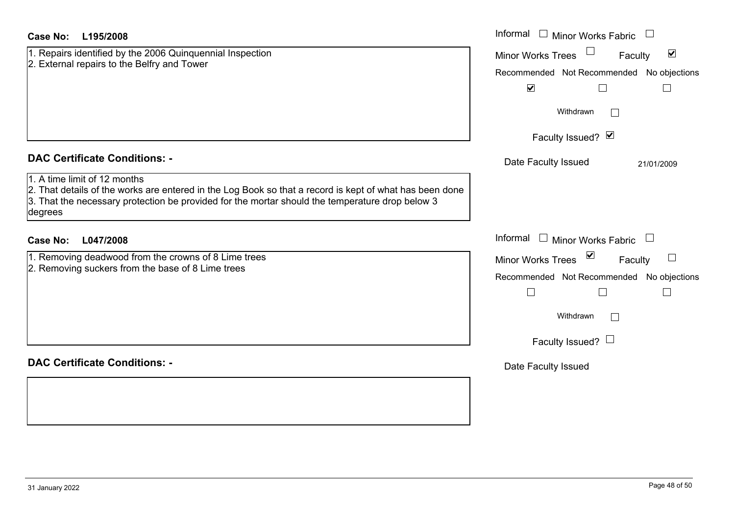| Case No:<br>L195/2008                                                                                                                                                                                                                                 | Informal $\Box$ Minor Works Fabric $\Box$                             |  |
|-------------------------------------------------------------------------------------------------------------------------------------------------------------------------------------------------------------------------------------------------------|-----------------------------------------------------------------------|--|
| 1. Repairs identified by the 2006 Quinquennial Inspection                                                                                                                                                                                             | $\Box$<br>$\blacktriangledown$<br><b>Minor Works Trees</b><br>Faculty |  |
| 2. External repairs to the Belfry and Tower                                                                                                                                                                                                           | Recommended Not Recommended No objections                             |  |
|                                                                                                                                                                                                                                                       | $\blacktriangledown$<br>$\Box$<br>$\Box$                              |  |
|                                                                                                                                                                                                                                                       | Withdrawn                                                             |  |
|                                                                                                                                                                                                                                                       | Faculty Issued? Ø                                                     |  |
| <b>DAC Certificate Conditions: -</b>                                                                                                                                                                                                                  | Date Faculty Issued<br>21/01/2009                                     |  |
| 1. A time limit of 12 months<br>2. That details of the works are entered in the Log Book so that a record is kept of what has been done<br>3. That the necessary protection be provided for the mortar should the temperature drop below 3<br>degrees |                                                                       |  |
| <b>Case No:</b><br>L047/2008                                                                                                                                                                                                                          | Informal<br>$\Box$ Minor Works Fabric $\Box$                          |  |
| 1. Removing deadwood from the crowns of 8 Lime trees<br>2. Removing suckers from the base of 8 Lime trees                                                                                                                                             | ⊻<br><b>Minor Works Trees</b><br>Faculty                              |  |
|                                                                                                                                                                                                                                                       | Recommended Not Recommended No objections                             |  |
|                                                                                                                                                                                                                                                       | $\Box$<br>$\vert \ \ \vert$<br>$\vert \ \ \vert$                      |  |
|                                                                                                                                                                                                                                                       | Withdrawn                                                             |  |
|                                                                                                                                                                                                                                                       | Faculty Issued? $\Box$                                                |  |
| <b>DAC Certificate Conditions: -</b>                                                                                                                                                                                                                  | Date Faculty Issued                                                   |  |
|                                                                                                                                                                                                                                                       |                                                                       |  |
|                                                                                                                                                                                                                                                       |                                                                       |  |
|                                                                                                                                                                                                                                                       |                                                                       |  |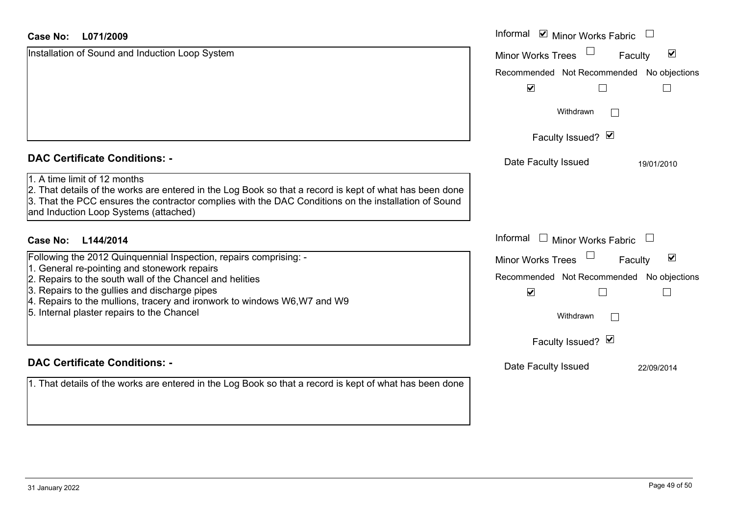| <b>Case No:</b><br>L071/2009                                                                                                                                                                                                                                                             | Informal <b>☑</b> Minor Works Fabric            |                                 |
|------------------------------------------------------------------------------------------------------------------------------------------------------------------------------------------------------------------------------------------------------------------------------------------|-------------------------------------------------|---------------------------------|
| Installation of Sound and Induction Loop System                                                                                                                                                                                                                                          | <b>Minor Works Trees</b>                        | $\blacktriangledown$<br>Faculty |
|                                                                                                                                                                                                                                                                                          | Recommended Not Recommended No objections       |                                 |
|                                                                                                                                                                                                                                                                                          | $\blacktriangledown$                            |                                 |
|                                                                                                                                                                                                                                                                                          | Withdrawn                                       |                                 |
|                                                                                                                                                                                                                                                                                          | Faculty Issued? Ø                               |                                 |
| <b>DAC Certificate Conditions: -</b>                                                                                                                                                                                                                                                     | Date Faculty Issued                             | 19/01/2010                      |
| 1. A time limit of 12 months<br>2. That details of the works are entered in the Log Book so that a record is kept of what has been done<br>3. That the PCC ensures the contractor complies with the DAC Conditions on the installation of Sound<br>and Induction Loop Systems (attached) |                                                 |                                 |
| L144/2014<br><b>Case No:</b>                                                                                                                                                                                                                                                             | Informal<br><b>Minor Works Fabric</b><br>$\Box$ |                                 |
| Following the 2012 Quinquennial Inspection, repairs comprising: -                                                                                                                                                                                                                        | Minor Works Trees                               | $\blacktriangledown$<br>Faculty |
| 1. General re-pointing and stonework repairs<br>2. Repairs to the south wall of the Chancel and helities                                                                                                                                                                                 | Recommended Not Recommended No objections       |                                 |
| 3. Repairs to the gullies and discharge pipes<br>4. Repairs to the mullions, tracery and ironwork to windows W6, W7 and W9                                                                                                                                                               | $\blacktriangledown$                            |                                 |
| 5. Internal plaster repairs to the Chancel                                                                                                                                                                                                                                               | Withdrawn                                       |                                 |
|                                                                                                                                                                                                                                                                                          | Faculty Issued? Ø                               |                                 |
| <b>DAC Certificate Conditions: -</b>                                                                                                                                                                                                                                                     | Date Faculty Issued                             | 22/09/2014                      |
| 1. That details of the works are entered in the Log Book so that a record is kept of what has been done                                                                                                                                                                                  |                                                 |                                 |